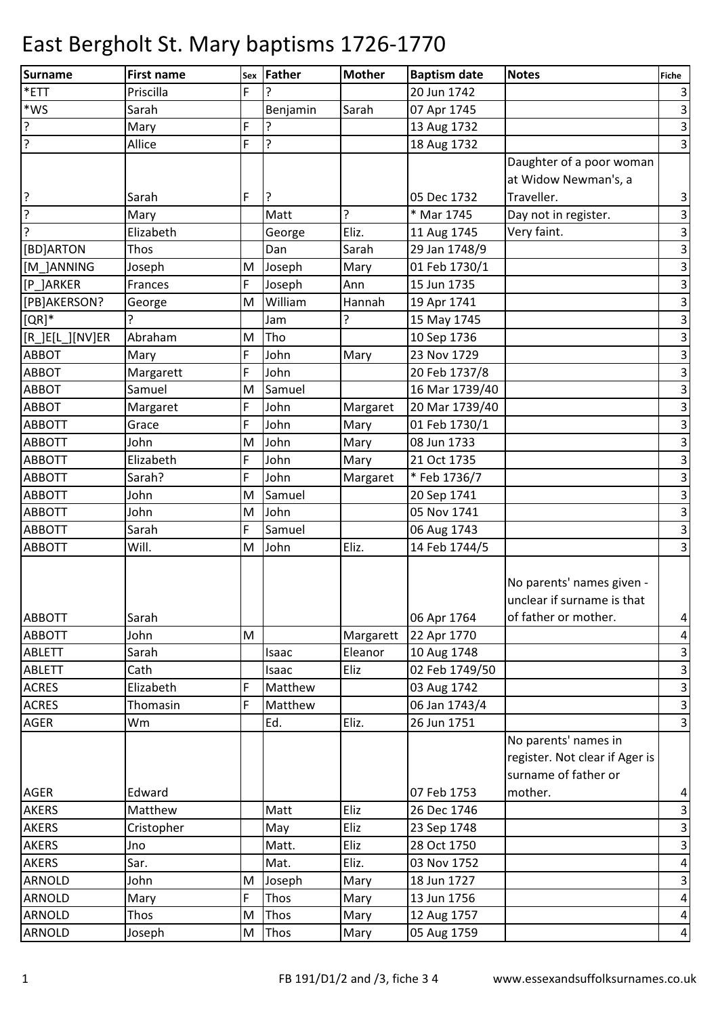| <b>Surname</b>      | <b>First name</b> | Sex | <b>Father</b> | <b>Mother</b> | <b>Baptism date</b> | <b>Notes</b>                   | Fiche                     |
|---------------------|-------------------|-----|---------------|---------------|---------------------|--------------------------------|---------------------------|
| *ETT                | Priscilla         | F   |               |               | 20 Jun 1742         |                                | $\mathsf 3$               |
| $*$ WS              | Sarah             |     | Benjamin      | Sarah         | 07 Apr 1745         |                                | $\mathbf{3}$              |
| $\overline{?}$      | Mary              | F   |               |               | 13 Aug 1732         |                                | $\overline{\mathbf{3}}$   |
| ?                   | Allice            | F   | ?             |               | 18 Aug 1732         |                                | $\overline{3}$            |
|                     |                   |     |               |               |                     | Daughter of a poor woman       |                           |
|                     |                   |     |               |               |                     | at Widow Newman's, a           |                           |
| ?                   | Sarah             | F   | ?             |               | 05 Dec 1732         | Traveller.                     | $\mathbf{3}$              |
| $\overline{?}$      | Mary              |     | Matt          | ?             | * Mar 1745          | Day not in register.           | $\overline{\mathbf{3}}$   |
| ?                   | Elizabeth         |     | George        | Eliz.         | 11 Aug 1745         | Very faint.                    | $\mathbf{3}$              |
| [BD]ARTON           | Thos              |     | Dan           | Sarah         | 29 Jan 1748/9       |                                | $\overline{\mathbf{3}}$   |
| [M ]ANNING          | Joseph            | M   | Joseph        | Mary          | 01 Feb 1730/1       |                                | $\mathbf{3}$              |
| [P_]ARKER           | Frances           | F   | Joseph        | Ann           | 15 Jun 1735         |                                | $\ensuremath{\mathsf{3}}$ |
| [PB]AKERSON?        | George            | M   | William       | Hannah        | 19 Apr 1741         |                                | $\mathsf 3$               |
| $[QR]$ *            |                   |     | Jam           | <sup>2</sup>  | 15 May 1745         |                                | $\overline{3}$            |
| $[R_.]E[L_.][NV]ER$ | Abraham           | M   | Tho           |               | 10 Sep 1736         |                                | $\mathsf{3}$              |
| <b>ABBOT</b>        | Mary              | F   | John          | Mary          | 23 Nov 1729         |                                | $\mathbf{3}$              |
| <b>ABBOT</b>        | Margarett         | F   | John          |               | 20 Feb 1737/8       |                                | $\ensuremath{\mathsf{3}}$ |
| ABBOT               | Samuel            | M   | Samuel        |               | 16 Mar 1739/40      |                                | $\mathbf{3}$              |
| ABBOT               | Margaret          | F   | John          | Margaret      | 20 Mar 1739/40      |                                | $\overline{\mathbf{3}}$   |
| <b>ABBOTT</b>       | Grace             | F   | John          | Mary          | 01 Feb 1730/1       |                                | $\mathsf 3$               |
| <b>ABBOTT</b>       | John              | M   | John          | Mary          | 08 Jun 1733         |                                | υ                         |
| <b>ABBOTT</b>       | Elizabeth         | F   | John          | Mary          | 21 Oct 1735         |                                | $\mathbf{3}$              |
| <b>ABBOTT</b>       | Sarah?            | F   | John          | Margaret      | *Feb 1736/7         |                                | $\mathbf{3}$              |
| <b>ABBOTT</b>       | John              | M   | Samuel        |               | 20 Sep 1741         |                                | $\overline{\mathbf{3}}$   |
| <b>ABBOTT</b>       | John              | M   | John          |               | 05 Nov 1741         |                                | $\mathbf{3}$              |
| <b>ABBOTT</b>       | Sarah             | F   | Samuel        |               | 06 Aug 1743         |                                | υ                         |
| <b>ABBOTT</b>       | Will.             | M   | John          | Eliz.         | 14 Feb 1744/5       |                                | $\overline{\mathbf{3}}$   |
|                     |                   |     |               |               |                     |                                |                           |
|                     |                   |     |               |               |                     | No parents' names given -      |                           |
|                     |                   |     |               |               |                     | unclear if surname is that     |                           |
| <b>ABBOTT</b>       | Sarah             |     |               |               | 06 Apr 1764         | of father or mother.           | $\overline{a}$            |
| <b>ABBOTT</b>       | John              | M   |               | Margarett     | 22 Apr 1770         |                                | $\pmb{4}$                 |
| <b>ABLETT</b>       | Sarah             |     | Isaac         | Eleanor       | 10 Aug 1748         |                                | $\mathsf 3$               |
| ABLETT              | Cath              |     | Isaac         | Eliz          | 02 Feb 1749/50      |                                | $\mathsf{3}$              |
| <b>ACRES</b>        | Elizabeth         | F   | Matthew       |               | 03 Aug 1742         |                                | $\mathsf 3$               |
| <b>ACRES</b>        | Thomasin          | F   | Matthew       |               | 06 Jan 1743/4       |                                | $\mathsf 3$               |
| AGER                | Wm                |     | Ed.           | Eliz.         | 26 Jun 1751         |                                | $\overline{\mathbf{3}}$   |
|                     |                   |     |               |               |                     | No parents' names in           |                           |
|                     |                   |     |               |               |                     | register. Not clear if Ager is |                           |
|                     |                   |     |               |               |                     | surname of father or           |                           |
| <b>AGER</b>         | Edward            |     |               |               | 07 Feb 1753         | mother.                        | $\overline{\mathbf{r}}$   |
| <b>AKERS</b>        | Matthew           |     | Matt          | Eliz          | 26 Dec 1746         |                                | $\ensuremath{\mathsf{3}}$ |
| <b>AKERS</b>        | Cristopher        |     | May           | Eliz          | 23 Sep 1748         |                                | $\ensuremath{\mathsf{3}}$ |
| <b>AKERS</b>        | Jno               |     | Matt.         | Eliz          | 28 Oct 1750         |                                | $\mathsf 3$               |
| <b>AKERS</b>        | Sar.              |     | Mat.          | Eliz.         | 03 Nov 1752         |                                | $\overline{\mathbf{4}}$   |
| ARNOLD              | John              | M   | Joseph        | Mary          | 18 Jun 1727         |                                | $\ensuremath{\mathsf{3}}$ |
| <b>ARNOLD</b>       | Mary              | F   | Thos          | Mary          | 13 Jun 1756         |                                | $\pmb{4}$                 |
| <b>ARNOLD</b>       | Thos              | M   | Thos          | Mary          | 12 Aug 1757         |                                | $\overline{a}$            |
| <b>ARNOLD</b>       | Joseph            | M   | Thos          | Mary          | 05 Aug 1759         |                                | $\overline{a}$            |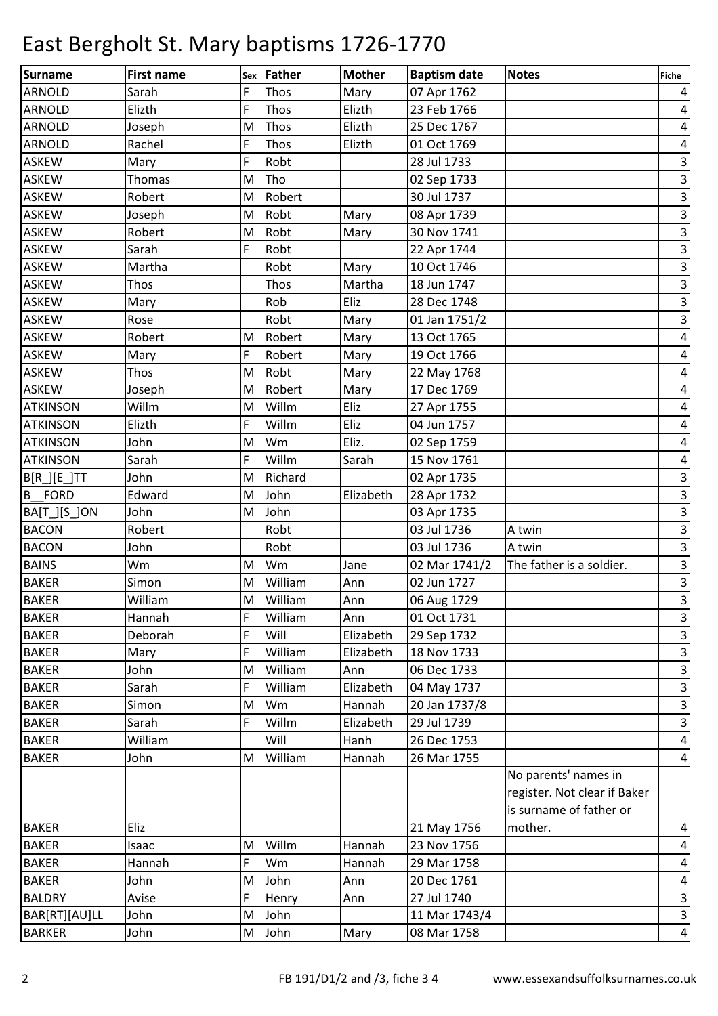| Surname         | <b>First name</b> | <b>Sex</b> | Father  | <b>Mother</b> | <b>Baptism date</b> | Notes                                                                           | <b>Fiche</b>            |
|-----------------|-------------------|------------|---------|---------------|---------------------|---------------------------------------------------------------------------------|-------------------------|
| <b>ARNOLD</b>   | Sarah             | F          | Thos    | Mary          | 07 Apr 1762         |                                                                                 | $\vert$                 |
| <b>ARNOLD</b>   | Elizth            | F          | Thos    | Elizth        | 23 Feb 1766         |                                                                                 | $\vert$                 |
| <b>ARNOLD</b>   | Joseph            | M          | Thos    | Elizth        | 25 Dec 1767         |                                                                                 | $\vert 4 \vert$         |
| <b>ARNOLD</b>   | Rachel            | F          | Thos    | Elizth        | 01 Oct 1769         |                                                                                 | $\vert 4 \vert$         |
| <b>ASKEW</b>    | Mary              | F          | Robt    |               | 28 Jul 1733         |                                                                                 | $\overline{\mathbf{3}}$ |
| <b>ASKEW</b>    | Thomas            | M          | Tho     |               | 02 Sep 1733         |                                                                                 | $\vert$ 3               |
| <b>ASKEW</b>    | Robert            | M          | Robert  |               | 30 Jul 1737         |                                                                                 | $\overline{\mathbf{3}}$ |
| <b>ASKEW</b>    | Joseph            | M          | Robt    | Mary          | 08 Apr 1739         |                                                                                 | $\vert$ 3               |
| <b>ASKEW</b>    | Robert            | M          | Robt    | Mary          | 30 Nov 1741         |                                                                                 | $\overline{\mathbf{3}}$ |
| <b>ASKEW</b>    | Sarah             | F          | Robt    |               | 22 Apr 1744         |                                                                                 | $\vert$ 3               |
| <b>ASKEW</b>    | Martha            |            | Robt    | Mary          | 10 Oct 1746         |                                                                                 | $\overline{\mathbf{3}}$ |
| <b>ASKEW</b>    | Thos              |            | Thos    | Martha        | 18 Jun 1747         |                                                                                 | $\vert$ 3               |
| <b>ASKEW</b>    | Mary              |            | Rob     | Eliz          | 28 Dec 1748         |                                                                                 | $\vert$ 3               |
| ASKEW           | Rose              |            | Robt    | Mary          | 01 Jan 1751/2       |                                                                                 | $\overline{\mathbf{3}}$ |
| <b>ASKEW</b>    | Robert            | M          | Robert  | Mary          | 13 Oct 1765         |                                                                                 | $\vert 4 \vert$         |
| <b>ASKEW</b>    | Mary              | F          | Robert  | Mary          | 19 Oct 1766         |                                                                                 | $\vert 4 \vert$         |
| <b>ASKEW</b>    | Thos              | M          | Robt    | Mary          | 22 May 1768         |                                                                                 | $\vert 4 \vert$         |
| <b>ASKEW</b>    | Joseph            | M          | Robert  | Mary          | 17 Dec 1769         |                                                                                 | $\overline{a}$          |
| <b>ATKINSON</b> | Willm             | M          | Willm   | Eliz          | 27 Apr 1755         |                                                                                 | $\overline{a}$          |
| <b>ATKINSON</b> | Elizth            | F          | Willm   | Eliz          | 04 Jun 1757         |                                                                                 | $\vert$                 |
| <b>ATKINSON</b> | John              | M          | Wm      | Eliz.         | 02 Sep 1759         |                                                                                 | $\pmb{4}$               |
| <b>ATKINSON</b> | Sarah             | F          | Willm   | Sarah         | 15 Nov 1761         |                                                                                 | $\pmb{4}$               |
| $B[R_][E_]TT$   | John              | M          | Richard |               | 02 Apr 1735         |                                                                                 | $\overline{\mathbf{3}}$ |
| <b>B</b> FORD   | Edward            | M          | John    | Elizabeth     | 28 Apr 1732         |                                                                                 | $\vert$ 3               |
| BA[T_][S_]ON    | John              | M          | John    |               | 03 Apr 1735         |                                                                                 | $\overline{\mathbf{3}}$ |
| <b>BACON</b>    | Robert            |            | Robt    |               | 03 Jul 1736         | A twin                                                                          | $\overline{3}$          |
| <b>BACON</b>    | John              |            | Robt    |               | 03 Jul 1736         | A twin                                                                          | $\vert$ 3               |
| <b>BAINS</b>    | Wm                | M          | Wm      | Jane          | 02 Mar 1741/2       | The father is a soldier.                                                        | $\overline{\mathbf{3}}$ |
| <b>BAKER</b>    | Simon             | M          | William | Ann           | 02 Jun 1727         |                                                                                 | $\overline{\mathbf{3}}$ |
| <b>BAKER</b>    | William           | M          | William | Ann           | 06 Aug 1729         |                                                                                 | $\overline{3}$          |
| <b>BAKER</b>    | Hannah            | F          | William | Ann           | 01 Oct 1731         |                                                                                 | $\vert$ 3               |
| <b>BAKER</b>    | Deborah           | F          | Will    | Elizabeth     | 29 Sep 1732         |                                                                                 | $\vert$ 3               |
| <b>BAKER</b>    | Mary              | F          | William | Elizabeth     | 18 Nov 1733         |                                                                                 | $\overline{\mathbf{3}}$ |
| <b>BAKER</b>    | John              | M          | William | Ann           | 06 Dec 1733         |                                                                                 | $\overline{\mathbf{3}}$ |
| <b>BAKER</b>    | Sarah             | F          | William | Elizabeth     | 04 May 1737         |                                                                                 | $\overline{3}$          |
| <b>BAKER</b>    | Simon             | M          | Wm      | Hannah        | 20 Jan 1737/8       |                                                                                 | $\vert$ 3               |
| <b>BAKER</b>    | Sarah             | F          | Willm   | Elizabeth     | 29 Jul 1739         |                                                                                 | $\vert$ 3               |
| <b>BAKER</b>    | William           |            | Will    | Hanh          | 26 Dec 1753         |                                                                                 | $\vert 4 \vert$         |
| <b>BAKER</b>    | John              | M          | William | Hannah        | 26 Mar 1755         |                                                                                 | $\vert 4 \vert$         |
|                 |                   |            |         |               |                     | No parents' names in<br>register. Not clear if Baker<br>is surname of father or |                         |
| <b>BAKER</b>    | Eliz              |            |         |               | 21 May 1756         | mother.                                                                         | $\vert 4 \vert$         |
| <b>BAKER</b>    | Isaac             | M          | Willm   | Hannah        | 23 Nov 1756         |                                                                                 | $\vert 4 \vert$         |
| <b>BAKER</b>    | Hannah            | F          | Wm      | Hannah        | 29 Mar 1758         |                                                                                 | $\vert$                 |
| <b>BAKER</b>    | John              | M          | John    | Ann           | 20 Dec 1761         |                                                                                 | $\vert 4 \vert$         |
| <b>BALDRY</b>   | Avise             | F          | Henry   | Ann           | 27 Jul 1740         |                                                                                 | $\vert$ 3               |
| BAR[RT][AU]LL   | John              | M          | John    |               | 11 Mar 1743/4       |                                                                                 | $\vert$ 3               |
| <b>BARKER</b>   | John              | M          | John    | Mary          | 08 Mar 1758         |                                                                                 | $\vert 4 \vert$         |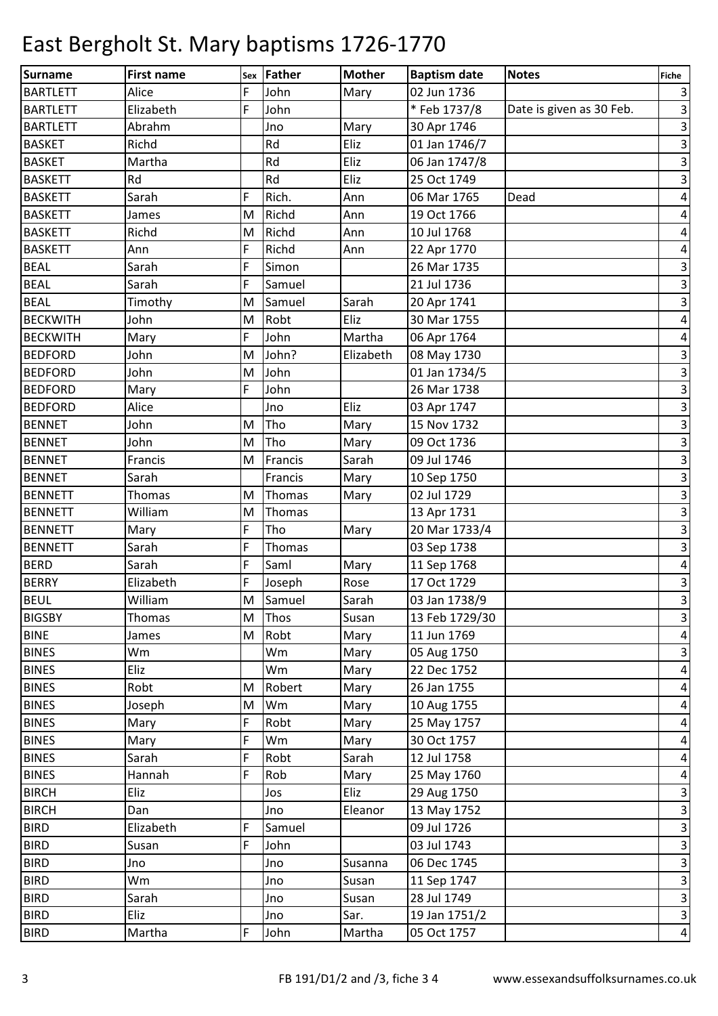| <b>Surname</b>  | <b>First name</b> | Sex | <b>Father</b> | <b>Mother</b> | <b>Baptism date</b> | <b>Notes</b>             | <b>Fiche</b>            |
|-----------------|-------------------|-----|---------------|---------------|---------------------|--------------------------|-------------------------|
| <b>BARTLETT</b> | Alice             | F   | John          | Mary          | 02 Jun 1736         |                          | $\vert$ 3               |
| <b>BARTLETT</b> | Elizabeth         | F   | John          |               | *Feb 1737/8         | Date is given as 30 Feb. | $\overline{\mathbf{3}}$ |
| <b>BARTLETT</b> | Abrahm            |     | Jno           | Mary          | 30 Apr 1746         |                          | $\vert$ 3               |
| <b>BASKET</b>   | Richd             |     | Rd            | Eliz          | 01 Jan 1746/7       |                          | $\overline{\mathbf{3}}$ |
| <b>BASKET</b>   | Martha            |     | Rd            | Eliz          | 06 Jan 1747/8       |                          | $\vert$ 3               |
| <b>BASKETT</b>  | Rd                |     | Rd            | Eliz          | 25 Oct 1749         |                          | $\overline{\mathbf{3}}$ |
| <b>BASKETT</b>  | Sarah             | F   | Rich.         | Ann           | 06 Mar 1765         | Dead                     | $\vert 4 \vert$         |
| <b>BASKETT</b>  | James             | M   | Richd         | Ann           | 19 Oct 1766         |                          | $\overline{a}$          |
| <b>BASKETT</b>  | Richd             | M   | Richd         | Ann           | 10 Jul 1768         |                          | $\pmb{4}$               |
| <b>BASKETT</b>  | Ann               | F   | Richd         | Ann           | 22 Apr 1770         |                          | $\vert 4 \vert$         |
| <b>BEAL</b>     | Sarah             | F   | Simon         |               | 26 Mar 1735         |                          | $\overline{\mathbf{3}}$ |
| <b>BEAL</b>     | Sarah             | F   | Samuel        |               | 21 Jul 1736         |                          | $\vert$ 3               |
| <b>BEAL</b>     | Timothy           | M   | Samuel        | Sarah         | 20 Apr 1741         |                          | $\vert$ 3               |
| <b>BECKWITH</b> | John              | M   | Robt          | Eliz          | 30 Mar 1755         |                          | $\vert 4 \vert$         |
| <b>BECKWITH</b> | Mary              | F   | John          | Martha        | 06 Apr 1764         |                          | $\overline{a}$          |
| <b>BEDFORD</b>  | John              | M   | John?         | Elizabeth     | 08 May 1730         |                          | $\overline{\mathbf{3}}$ |
| <b>BEDFORD</b>  | John              | M   | John          |               | 01 Jan 1734/5       |                          | $\vert$ 3               |
| <b>BEDFORD</b>  | Mary              | F   | John          |               | 26 Mar 1738         |                          | $\vert$ 3               |
| <b>BEDFORD</b>  | Alice             |     | Jno           | Eliz          | 03 Apr 1747         |                          | $\vert$ 3               |
| <b>BENNET</b>   | John              | M   | Tho           | Mary          | 15 Nov 1732         |                          | $\overline{3}$          |
| <b>BENNET</b>   | John              | M   | Tho           | Mary          | 09 Oct 1736         |                          | $\overline{\mathbf{3}}$ |
| <b>BENNET</b>   | Francis           | M   | Francis       | Sarah         | 09 Jul 1746         |                          | $\vert$ 3               |
| <b>BENNET</b>   | Sarah             |     | Francis       | Mary          | 10 Sep 1750         |                          | $\overline{\mathbf{3}}$ |
| <b>BENNETT</b>  | Thomas            | M   | Thomas        | Mary          | 02 Jul 1729         |                          | $\vert$ 3               |
| <b>BENNETT</b>  | William           | M   | Thomas        |               | 13 Apr 1731         |                          | $\overline{3}$          |
| <b>BENNETT</b>  | Mary              | F   | Tho           | Mary          | 20 Mar 1733/4       |                          | $\overline{\mathbf{3}}$ |
| <b>BENNETT</b>  | Sarah             | F   | Thomas        |               | 03 Sep 1738         |                          | $\mathbf{3}$            |
| <b>BERD</b>     | Sarah             | F   | Saml          | Mary          | 11 Sep 1768         |                          | $\pmb{4}$               |
| <b>BERRY</b>    | Elizabeth         | F   | Joseph        | Rose          | 17 Oct 1729         |                          | $\overline{\mathbf{3}}$ |
| <b>BEUL</b>     | William           | M   | Samuel        | Sarah         | 03 Jan 1738/9       |                          | $\overline{3}$          |
| <b>BIGSBY</b>   | Thomas            | M   | Thos          | Susan         | 13 Feb 1729/30      |                          | $\vert$ 3               |
| <b>BINE</b>     | James             | M   | Robt          | Mary          | 11 Jun 1769         |                          | $\vert 4 \vert$         |
| <b>BINES</b>    | Wm                |     | Wm            | Mary          | 05 Aug 1750         |                          | $\overline{3}$          |
| <b>BINES</b>    | Eliz              |     | Wm            | Mary          | 22 Dec 1752         |                          | $\vert 4 \vert$         |
| <b>BINES</b>    | Robt              | M   | Robert        | Mary          | 26 Jan 1755         |                          | $\vert 4 \vert$         |
| <b>BINES</b>    | Joseph            | M   | Wm            | Mary          | 10 Aug 1755         |                          | $\vert 4 \vert$         |
| <b>BINES</b>    | Mary              | F   | Robt          | Mary          | 25 May 1757         |                          | $\vert 4 \vert$         |
| <b>BINES</b>    | Mary              | F   | Wm            | Mary          | 30 Oct 1757         |                          | $\vert 4 \vert$         |
| <b>BINES</b>    | Sarah             | F   | Robt          | Sarah         | 12 Jul 1758         |                          | $\vert 4 \vert$         |
| <b>BINES</b>    | Hannah            | F   | Rob           | Mary          | 25 May 1760         |                          | $\vert 4 \vert$         |
| <b>BIRCH</b>    | Eliz              |     | Jos           | Eliz          | 29 Aug 1750         |                          | $\overline{\mathbf{3}}$ |
| <b>BIRCH</b>    | Dan               |     | Jno           | Eleanor       | 13 May 1752         |                          | $\overline{\mathbf{3}}$ |
| <b>BIRD</b>     | Elizabeth         | F   | Samuel        |               | 09 Jul 1726         |                          | $\overline{\mathbf{3}}$ |
| <b>BIRD</b>     | Susan             | F   | John          |               | 03 Jul 1743         |                          | $\overline{\mathbf{3}}$ |
| <b>BIRD</b>     | Jno               |     | Jno           | Susanna       | 06 Dec 1745         |                          | $\overline{3}$          |
| <b>BIRD</b>     | Wm                |     | Jno           | Susan         | 11 Sep 1747         |                          | $\overline{\mathbf{3}}$ |
| <b>BIRD</b>     | Sarah             |     | Jno           | Susan         | 28 Jul 1749         |                          | $\overline{\mathbf{3}}$ |
| <b>BIRD</b>     | Eliz              |     | Jno           | Sar.          | 19 Jan 1751/2       |                          | $\vert$ 3               |
| <b>BIRD</b>     | Martha            | F   | John          | Martha        | 05 Oct 1757         |                          | $\vert 4 \vert$         |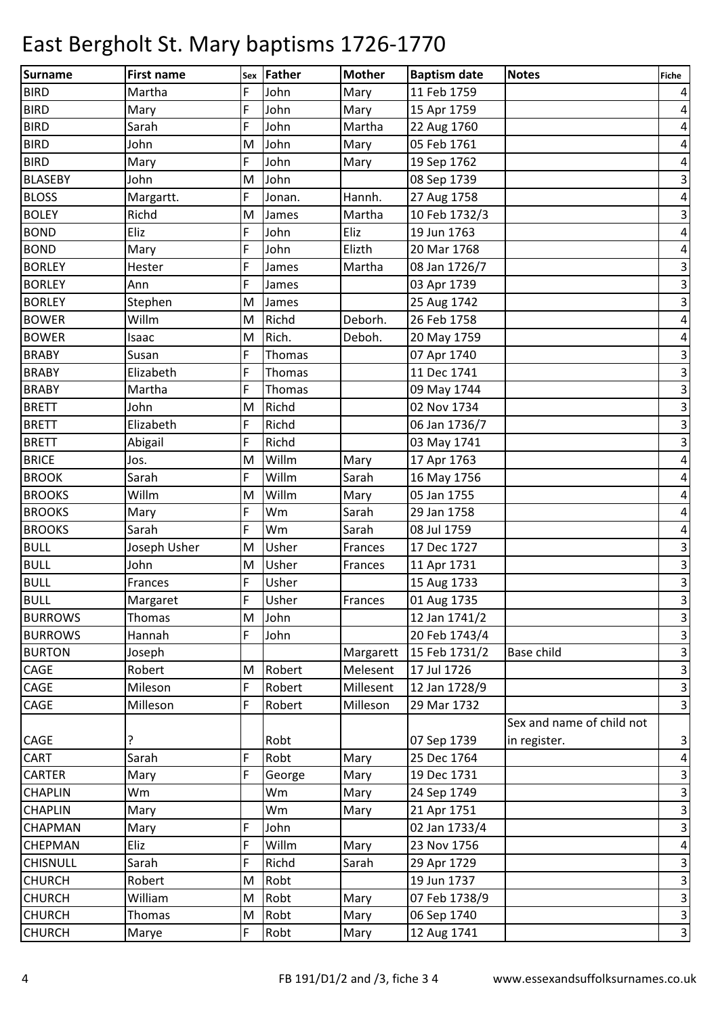| <b>Surname</b>  | <b>First name</b> | Sex | Father | <b>Mother</b> | <b>Baptism date</b> | <b>Notes</b>              | <b>Fiche</b>            |
|-----------------|-------------------|-----|--------|---------------|---------------------|---------------------------|-------------------------|
| <b>BIRD</b>     | Martha            | F   | John   | Mary          | 11 Feb 1759         |                           | $\vert 4 \vert$         |
| <b>BIRD</b>     | Mary              | F   | John   | Mary          | 15 Apr 1759         |                           | $\vert 4 \vert$         |
| <b>BIRD</b>     | Sarah             | F   | John   | Martha        | 22 Aug 1760         |                           | $\vert 4 \vert$         |
| <b>BIRD</b>     | John              | M   | John   | Mary          | 05 Feb 1761         |                           | $\vert 4 \vert$         |
| <b>BIRD</b>     | Mary              | F   | John   | Mary          | 19 Sep 1762         |                           | $\vert 4 \vert$         |
| <b>BLASEBY</b>  | John              | M   | John   |               | 08 Sep 1739         |                           | $\vert$ 3               |
| <b>BLOSS</b>    | Margartt.         | F   | Jonan. | Hannh.        | 27 Aug 1758         |                           | $\vert 4 \vert$         |
| <b>BOLEY</b>    | Richd             | M   | James  | Martha        | 10 Feb 1732/3       |                           | $\mathbf{3}$            |
| <b>BOND</b>     | Eliz              | F   | John   | Eliz          | 19 Jun 1763         |                           | $\vert 4 \vert$         |
| <b>BOND</b>     | Mary              | F   | John   | Elizth        | 20 Mar 1768         |                           | $\vert 4 \vert$         |
| <b>BORLEY</b>   | Hester            | F   | James  | Martha        | 08 Jan 1726/7       |                           | $\overline{\mathbf{3}}$ |
| <b>BORLEY</b>   | Ann               | F   | James  |               | 03 Apr 1739         |                           | $\vert$ 3               |
| <b>BORLEY</b>   | Stephen           | M   | James  |               | 25 Aug 1742         |                           | $\overline{\mathbf{3}}$ |
| <b>BOWER</b>    | Willm             | M   | Richd  | Deborh.       | 26 Feb 1758         |                           | $\vert 4 \vert$         |
| <b>BOWER</b>    | Isaac             | M   | Rich.  | Deboh.        | 20 May 1759         |                           | $\vert 4 \vert$         |
| <b>BRABY</b>    | Susan             | F   | Thomas |               | 07 Apr 1740         |                           | $\overline{\mathbf{3}}$ |
| <b>BRABY</b>    | Elizabeth         | F   | Thomas |               | 11 Dec 1741         |                           | $\overline{\mathbf{3}}$ |
| <b>BRABY</b>    | Martha            | F   | Thomas |               | 09 May 1744         |                           | $\overline{\mathbf{3}}$ |
| <b>BRETT</b>    | John              | M   | Richd  |               | 02 Nov 1734         |                           | $\vert$ 3               |
| <b>BRETT</b>    | Elizabeth         | F   | Richd  |               | 06 Jan 1736/7       |                           | $\overline{\mathbf{3}}$ |
| <b>BRETT</b>    | Abigail           | F   | Richd  |               | 03 May 1741         |                           | $\overline{3}$          |
| <b>BRICE</b>    | Jos.              | M   | Willm  | Mary          | 17 Apr 1763         |                           | $\vert 4 \vert$         |
| <b>BROOK</b>    | Sarah             | F   | Willm  | Sarah         | 16 May 1756         |                           | $\vert 4 \vert$         |
| <b>BROOKS</b>   | Willm             | M   | Willm  | Mary          | 05 Jan 1755         |                           | $\vert 4 \vert$         |
| <b>BROOKS</b>   | Mary              | F   | Wm     | Sarah         | 29 Jan 1758         |                           | $\vert 4 \vert$         |
| <b>BROOKS</b>   | Sarah             | F   | Wm     | Sarah         | 08 Jul 1759         |                           | $\overline{a}$          |
| <b>BULL</b>     | Joseph Usher      | M   | Usher  | Frances       | 17 Dec 1727         |                           | $\mathbf{3}$            |
| <b>BULL</b>     | John              | M   | Usher  | Frances       | 11 Apr 1731         |                           | $\overline{\mathbf{3}}$ |
| BULL            | Frances           | F   | Usher  |               | 15 Aug 1733         |                           | $\overline{\mathbf{3}}$ |
| <b>BULL</b>     | Margaret          | F   | Usher  | Frances       | 01 Aug 1735         |                           | $\overline{3}$          |
| <b>BURROWS</b>  | Thomas            | M   | John   |               | 12 Jan 1741/2       |                           | $\vert$ 3               |
| <b>BURROWS</b>  | Hannah            | F   | John   |               | 20 Feb 1743/4       |                           | $\vert$ 3               |
| <b>BURTON</b>   | Joseph            |     |        | Margarett     | 15 Feb 1731/2       | <b>Base child</b>         | $\overline{\mathbf{3}}$ |
| <b>CAGE</b>     | Robert            | M   | Robert | Melesent      | 17 Jul 1726         |                           | $\overline{\mathbf{3}}$ |
| <b>CAGE</b>     | Mileson           | F   | Robert | Millesent     | 12 Jan 1728/9       |                           | $\overline{\mathbf{3}}$ |
| <b>CAGE</b>     | Milleson          | F   | Robert | Milleson      | 29 Mar 1732         |                           | $\overline{3}$          |
|                 |                   |     |        |               |                     | Sex and name of child not |                         |
| CAGE            | ?                 |     | Robt   |               | 07 Sep 1739         | in register.              | $\vert$ 3               |
| <b>CART</b>     | Sarah             | F   | Robt   | Mary          | 25 Dec 1764         |                           | $\vert$                 |
| <b>CARTER</b>   | Mary              | F   | George | Mary          | 19 Dec 1731         |                           | $\overline{\mathbf{3}}$ |
| <b>CHAPLIN</b>  | Wm                |     | Wm     | Mary          | 24 Sep 1749         |                           | $\vert$ 3               |
| <b>CHAPLIN</b>  | Mary              |     | Wm     | Mary          | 21 Apr 1751         |                           | $\overline{\mathbf{3}}$ |
| <b>CHAPMAN</b>  | Mary              | F   | John   |               | 02 Jan 1733/4       |                           | $\overline{\mathbf{3}}$ |
| <b>CHEPMAN</b>  | Eliz              | F   | Willm  | Mary          | 23 Nov 1756         |                           | $\vert 4 \vert$         |
| <b>CHISNULL</b> | Sarah             | F   | Richd  | Sarah         | 29 Apr 1729         |                           | $\vert$ 3               |
| <b>CHURCH</b>   | Robert            | M   | Robt   |               | 19 Jun 1737         |                           | $\vert$ 3               |
| <b>CHURCH</b>   | William           | M   | Robt   | Mary          | 07 Feb 1738/9       |                           | $\overline{\mathbf{3}}$ |
| <b>CHURCH</b>   | Thomas            | M   | Robt   | Mary          | 06 Sep 1740         |                           | $\overline{3}$          |
| <b>CHURCH</b>   | Marye             | F   | Robt   | Mary          | 12 Aug 1741         |                           | $\overline{\mathbf{3}}$ |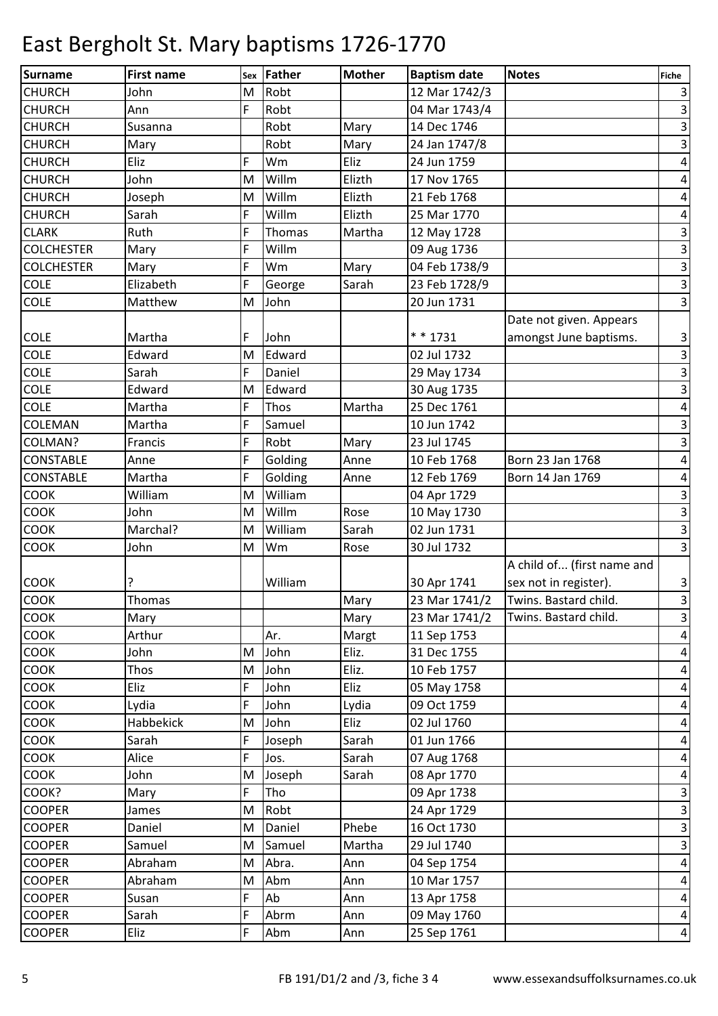| <b>Surname</b>    | <b>First name</b> | Sex | Father  | <b>Mother</b> | <b>Baptism date</b> | <b>Notes</b>               | <b>Fiche</b>            |
|-------------------|-------------------|-----|---------|---------------|---------------------|----------------------------|-------------------------|
| <b>CHURCH</b>     | John              | M   | Robt    |               | 12 Mar 1742/3       |                            | $\vert$ 3               |
| <b>CHURCH</b>     | Ann               | F   | Robt    |               | 04 Mar 1743/4       |                            | $\overline{3}$          |
| <b>CHURCH</b>     | Susanna           |     | Robt    | Mary          | 14 Dec 1746         |                            | $\overline{3}$          |
| <b>CHURCH</b>     | Mary              |     | Robt    | Mary          | 24 Jan 1747/8       |                            | $\overline{3}$          |
| <b>CHURCH</b>     | Eliz              | F   | Wm      | Eliz          | 24 Jun 1759         |                            | $\vert 4 \vert$         |
| <b>CHURCH</b>     | John              | M   | Willm   | Elizth        | 17 Nov 1765         |                            | $\vert 4 \vert$         |
| <b>CHURCH</b>     | Joseph            | M   | Willm   | Elizth        | 21 Feb 1768         |                            | $\overline{4}$          |
| <b>CHURCH</b>     | Sarah             | F   | Willm   | Elizth        | 25 Mar 1770         |                            | $\overline{a}$          |
| <b>CLARK</b>      | Ruth              | F   | Thomas  | Martha        | 12 May 1728         |                            | $\overline{\mathbf{3}}$ |
| <b>COLCHESTER</b> | Mary              | F   | Willm   |               | 09 Aug 1736         |                            | $\overline{\mathbf{3}}$ |
| <b>COLCHESTER</b> | Mary              | F   | Wm      | Mary          | 04 Feb 1738/9       |                            | ω                       |
| <b>COLE</b>       | Elizabeth         | F   | George  | Sarah         | 23 Feb 1728/9       |                            | $\overline{3}$          |
| COLE              | Matthew           | M   | John    |               | 20 Jun 1731         |                            | $\overline{3}$          |
|                   |                   |     |         |               |                     | Date not given. Appears    |                         |
| COLE              | Martha            | F   | John    |               | * * 1731            | amongst June baptisms.     | $\overline{3}$          |
| <b>COLE</b>       | Edward            | M   | Edward  |               | 02 Jul 1732         |                            | $\overline{\mathbf{3}}$ |
| <b>COLE</b>       | Sarah             | F   | Daniel  |               | 29 May 1734         |                            | $\overline{3}$          |
| COLE              | Edward            | M   | Edward  |               | 30 Aug 1735         |                            | $\overline{\mathbf{3}}$ |
| COLE              | Martha            | F   | Thos    | Martha        | 25 Dec 1761         |                            | $\vert 4 \vert$         |
| COLEMAN           | Martha            | F   | Samuel  |               | 10 Jun 1742         |                            | $\overline{3}$          |
| COLMAN?           | Francis           | F   | Robt    | Mary          | 23 Jul 1745         |                            | $\overline{\mathbf{3}}$ |
| <b>CONSTABLE</b>  | Anne              | F   | Golding | Anne          | 10 Feb 1768         | Born 23 Jan 1768           | $\vert 4 \vert$         |
| <b>CONSTABLE</b>  | Martha            | F   | Golding | Anne          | 12 Feb 1769         | Born 14 Jan 1769           | $\vert 4 \vert$         |
| <b>COOK</b>       | William           | M   | William |               | 04 Apr 1729         |                            | $\overline{\mathbf{3}}$ |
| <b>COOK</b>       | John              | M   | Willm   | Rose          | 10 May 1730         |                            | $\overline{\mathbf{3}}$ |
| <b>COOK</b>       | Marchal?          | M   | William | Sarah         | 02 Jun 1731         |                            | $\vert$ 3               |
| COOK              | John              | M   | Wm      | Rose          | 30 Jul 1732         |                            | $\overline{3}$          |
|                   |                   |     |         |               |                     | A child of (first name and |                         |
| <b>COOK</b>       |                   |     | William |               | 30 Apr 1741         | sex not in register).      | $\overline{\mathbf{3}}$ |
| <b>COOK</b>       | Thomas            |     |         | Mary          | 23 Mar 1741/2       | Twins. Bastard child.      | $\vert$ 3               |
| <b>COOK</b>       | Mary              |     |         | Mary          | 23 Mar 1741/2       | Twins. Bastard child.      | $\overline{3}$          |
| <b>COOK</b>       | Arthur            |     | Ar.     | Margt         | 11 Sep 1753         |                            | $\vert 4 \vert$         |
| COOK              | John              | M   | John    | Eliz.         | 31 Dec 1755         |                            | $\vert 4 \vert$         |
| COOK              | Thos              | M   | John    | Eliz.         | 10 Feb 1757         |                            | $\overline{a}$          |
| COOK              | Eliz              | F   | John    | Eliz          | 05 May 1758         |                            | $\vert 4 \vert$         |
| COOK              | Lydia             | F   | John    | Lydia         | 09 Oct 1759         |                            | $\vert 4 \vert$         |
| <b>COOK</b>       | Habbekick         | M   | John    | Eliz          | 02 Jul 1760         |                            | $\vert 4 \vert$         |
| COOK              | Sarah             | F   | Joseph  | Sarah         | 01 Jun 1766         |                            | $\overline{a}$          |
| <b>COOK</b>       | Alice             | F   | Jos.    | Sarah         | 07 Aug 1768         |                            | $\vert 4 \vert$         |
| COOK              | John              | M   | Joseph  | Sarah         | 08 Apr 1770         |                            | $\overline{a}$          |
| COOK?             | Mary              | F   | Tho     |               | 09 Apr 1738         |                            | $\overline{3}$          |
| <b>COOPER</b>     | James             | M   | Robt    |               | 24 Apr 1729         |                            | $\overline{\mathbf{3}}$ |
| <b>COOPER</b>     | Daniel            | M   | Daniel  | Phebe         | 16 Oct 1730         |                            | $\overline{\mathbf{3}}$ |
| <b>COOPER</b>     | Samuel            | M   | Samuel  | Martha        | 29 Jul 1740         |                            | $\overline{\mathbf{3}}$ |
| <b>COOPER</b>     | Abraham           | M   | Abra.   | Ann           | 04 Sep 1754         |                            | $\vert$                 |
| <b>COOPER</b>     | Abraham           | M   | Abm     | Ann           | 10 Mar 1757         |                            | $\vert 4 \vert$         |
| <b>COOPER</b>     | Susan             | F   | Ab      | Ann           | 13 Apr 1758         |                            | $\vert 4 \vert$         |
| <b>COOPER</b>     | Sarah             | F   | Abrm    | Ann           | 09 May 1760         |                            | $\vert 4 \vert$         |
| <b>COOPER</b>     | Eliz              | F   | Abm     | Ann           | 25 Sep 1761         |                            | $\vert 4 \vert$         |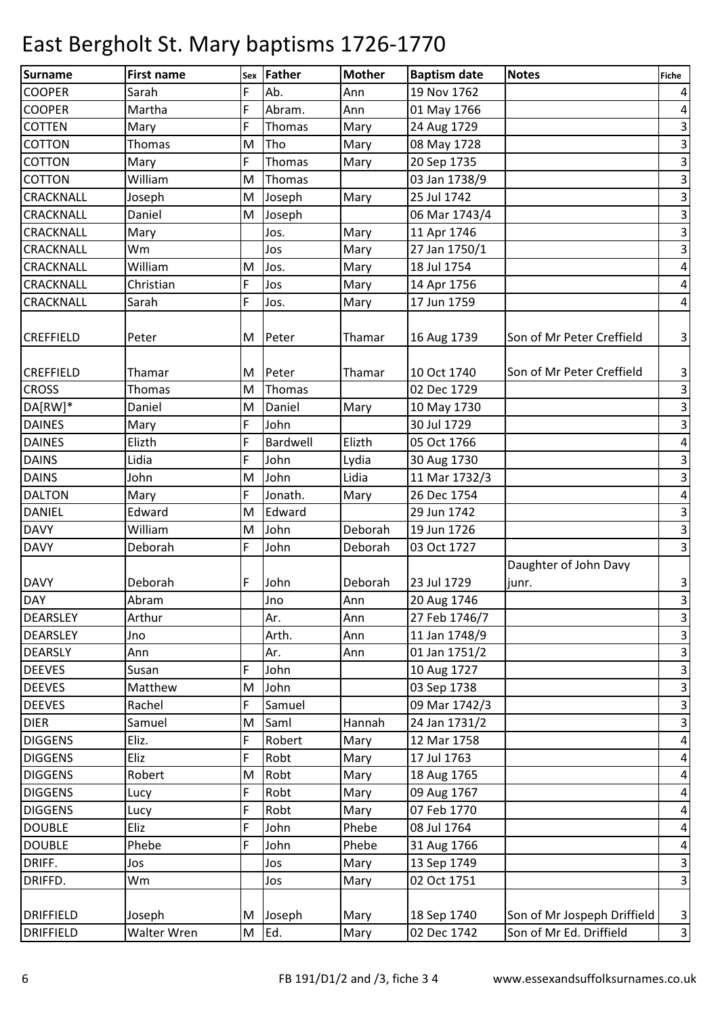| Surname          | <b>First name</b> | Sex | Father   | <b>Mother</b> | <b>Baptism date</b> | <b>Notes</b>                | <b>Fiche</b>            |
|------------------|-------------------|-----|----------|---------------|---------------------|-----------------------------|-------------------------|
| <b>COOPER</b>    | Sarah             | F   | Ab.      | Ann           | 19 Nov 1762         |                             | $\vert 4 \vert$         |
| <b>COOPER</b>    | Martha            | F   | Abram.   | Ann           | 01 May 1766         |                             | $\vert$                 |
| <b>COTTEN</b>    | Mary              | F   | Thomas   | Mary          | 24 Aug 1729         |                             | $\vert$ 3               |
| <b>COTTON</b>    | Thomas            | M   | Tho      | Mary          | 08 May 1728         |                             | $\overline{\mathbf{3}}$ |
| COTTON           | Mary              | F   | Thomas   | Mary          | 20 Sep 1735         |                             | $\vert$ 3               |
| COTTON           | William           | M   | Thomas   |               | 03 Jan 1738/9       |                             | $\overline{\mathbf{3}}$ |
| <b>CRACKNALL</b> | Joseph            | M   | Joseph   | Mary          | 25 Jul 1742         |                             | $\vert$ 3               |
| CRACKNALL        | Daniel            | M   | Joseph   |               | 06 Mar 1743/4       |                             | $\overline{\mathbf{3}}$ |
| <b>CRACKNALL</b> | Mary              |     | Jos.     | Mary          | 11 Apr 1746         |                             | $\overline{\mathbf{3}}$ |
| CRACKNALL        | Wm                |     | Jos      | Mary          | 27 Jan 1750/1       |                             | $\overline{3}$          |
| <b>CRACKNALL</b> | William           | M   | Jos.     | Mary          | 18 Jul 1754         |                             | $\vert 4 \vert$         |
| <b>CRACKNALL</b> | Christian         | F   | Jos      | Mary          | 14 Apr 1756         |                             | $\vert 4 \vert$         |
| <b>CRACKNALL</b> | Sarah             | F   | Jos.     | Mary          | 17 Jun 1759         |                             | $\vert 4 \vert$         |
|                  |                   |     |          |               |                     |                             |                         |
| <b>CREFFIELD</b> | Peter             | M   | Peter    | Thamar        | 16 Aug 1739         | Son of Mr Peter Creffield   | $\vert$ 3               |
|                  |                   |     |          |               |                     |                             |                         |
| <b>CREFFIELD</b> | Thamar            | M   | Peter    | Thamar        | 10 Oct 1740         | Son of Mr Peter Creffield   | $\vert$ 3               |
| <b>CROSS</b>     | Thomas            | M   | Thomas   |               | 02 Dec 1729         |                             | ω                       |
| DA[RW]*          | Daniel            | M   | Daniel   | Mary          | 10 May 1730         |                             | $\overline{\mathbf{3}}$ |
| <b>DAINES</b>    | Mary              | F   | John     |               | 30 Jul 1729         |                             | $\overline{\mathbf{3}}$ |
| <b>DAINES</b>    | Elizth            | F   | Bardwell | Elizth        | 05 Oct 1766         |                             | $\vert 4 \vert$         |
| <b>DAINS</b>     | Lidia             | F   | John     | Lydia         | 30 Aug 1730         |                             | $\overline{\mathbf{3}}$ |
| <b>DAINS</b>     | John              | M   | John     | Lidia         | 11 Mar 1732/3       |                             | $\overline{\mathbf{3}}$ |
| <b>DALTON</b>    | Mary              | F   | Jonath.  | Mary          | 26 Dec 1754         |                             | $\vert 4 \vert$         |
| <b>DANIEL</b>    | Edward            | M   | Edward   |               | 29 Jun 1742         |                             | $\overline{\mathbf{3}}$ |
| <b>DAVY</b>      | William           | M   | John     | Deborah       | 19 Jun 1726         |                             | $\vert$ 3               |
| <b>DAVY</b>      | Deborah           | F   | John     | Deborah       | 03 Oct 1727         |                             | $\overline{3}$          |
|                  |                   |     |          |               |                     | Daughter of John Davy       |                         |
| <b>DAVY</b>      | Deborah           | F   | John     | Deborah       | 23 Jul 1729         | junr.                       |                         |
| <b>DAY</b>       | Abram             |     | Jno      | Ann           | 20 Aug 1746         |                             | $\frac{3}{3}$           |
| <b>DEARSLEY</b>  | Arthur            |     | Ar.      | Ann           | 27 Feb 1746/7       |                             | $\vert$ 3               |
| <b>DEARSLEY</b>  | Jno               |     | Arth.    | Ann           | 11 Jan 1748/9       |                             | $\vert$                 |
| <b>DEARSLY</b>   | Ann               |     | Ar.      | Ann           | 01 Jan 1751/2       |                             | $\overline{\mathbf{3}}$ |
| <b>DEEVES</b>    | Susan             | F   | John     |               | 10 Aug 1727         |                             | $\overline{\mathbf{3}}$ |
| <b>DEEVES</b>    | Matthew           | M   | John     |               | 03 Sep 1738         |                             | $\overline{\mathbf{3}}$ |
| <b>DEEVES</b>    | Rachel            | F   | Samuel   |               | 09 Mar 1742/3       |                             | $\vert$ 3               |
| <b>DIER</b>      | Samuel            | M   | Saml     | Hannah        | 24 Jan 1731/2       |                             | $\overline{\mathbf{3}}$ |
| <b>DIGGENS</b>   | Eliz.             | F   | Robert   | Mary          | 12 Mar 1758         |                             | $\vert 4 \vert$         |
| <b>DIGGENS</b>   | Eliz              | F   | Robt     | Mary          | 17 Jul 1763         |                             | $\vert 4 \vert$         |
| <b>DIGGENS</b>   | Robert            | M   | Robt     | Mary          | 18 Aug 1765         |                             | $\vert 4 \vert$         |
| <b>DIGGENS</b>   | Lucy              | F   | Robt     | Mary          | 09 Aug 1767         |                             | $\vert 4 \vert$         |
| <b>DIGGENS</b>   | Lucy              | F   | Robt     | Mary          | 07 Feb 1770         |                             | $\vert 4 \vert$         |
| <b>DOUBLE</b>    | Eliz              | F   | John     | Phebe         | 08 Jul 1764         |                             | $\vert 4 \vert$         |
| <b>DOUBLE</b>    | Phebe             | F   | John     | Phebe         | 31 Aug 1766         |                             | $\vert 4 \vert$         |
| DRIFF.           | Jos               |     | Jos      | Mary          | 13 Sep 1749         |                             | $\overline{3}$          |
| DRIFFD.          | Wm                |     | Jos      | Mary          | 02 Oct 1751         |                             | $\vert$ 3               |
|                  |                   |     |          |               |                     |                             |                         |
| <b>DRIFFIELD</b> | Joseph            |     | M Joseph | Mary          | 18 Sep 1740         | Son of Mr Jospeph Driffield | $\overline{3}$          |
| <b>DRIFFIELD</b> | Walter Wren       |     | $M$ Ed.  | Mary          | 02 Dec 1742         | Son of Mr Ed. Driffield     | $\overline{\mathbf{3}}$ |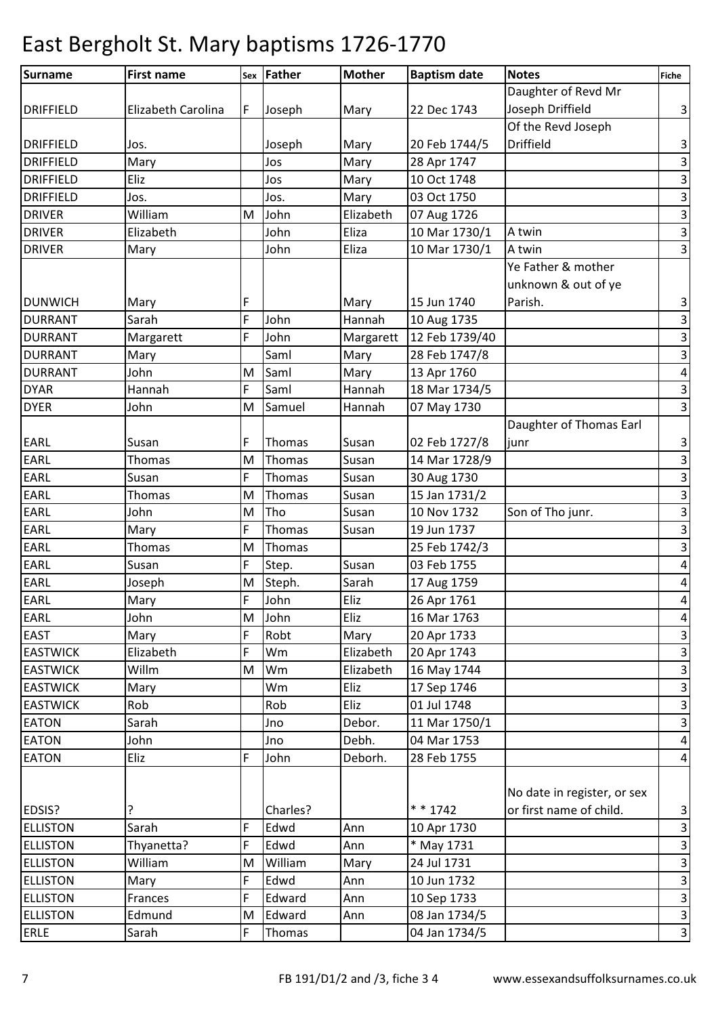| Surname          | <b>First name</b>  | Sex | Father   | <b>Mother</b>  | <b>Baptism date</b> | <b>Notes</b>                | <b>Fiche</b>                            |
|------------------|--------------------|-----|----------|----------------|---------------------|-----------------------------|-----------------------------------------|
|                  |                    |     |          |                |                     | Daughter of Revd Mr         |                                         |
| <b>DRIFFIELD</b> | Elizabeth Carolina | F   | Joseph   | Mary           | 22 Dec 1743         | Joseph Driffield            | $\mathbf{3}$                            |
|                  |                    |     |          |                |                     | Of the Revd Joseph          |                                         |
| <b>DRIFFIELD</b> | Jos.               |     | Joseph   | Mary           | 20 Feb 1744/5       | <b>Driffield</b>            | $\mathbf{3}$                            |
| <b>DRIFFIELD</b> | Mary               |     | Jos      | Mary           | 28 Apr 1747         |                             | $\ensuremath{\mathsf{3}}$               |
| <b>DRIFFIELD</b> | Eliz               |     | Jos      | Mary           | 10 Oct 1748         |                             | $\mathbf{3}$                            |
| <b>DRIFFIELD</b> | Jos.               |     | Jos.     | Mary           | 03 Oct 1750         |                             | $\mathbf{3}$                            |
| <b>DRIVER</b>    | William            | M   | John     | Elizabeth      | 07 Aug 1726         |                             | $\mathbf{3}$                            |
| <b>DRIVER</b>    | Elizabeth          |     | John     | Eliza          | 10 Mar 1730/1       | A twin                      | $\boldsymbol{\omega}$                   |
| <b>DRIVER</b>    | Mary               |     | John     | Eliza          | 10 Mar 1730/1       | A twin                      | $\overline{3}$                          |
|                  |                    |     |          |                |                     | Ye Father & mother          |                                         |
|                  |                    |     |          |                |                     | unknown & out of ye         |                                         |
| <b>DUNWICH</b>   | Mary               | F   |          | Mary           | 15 Jun 1740         | Parish.                     |                                         |
| <b>DURRANT</b>   | Sarah              | F   | John     | Hannah         | 10 Aug 1735         |                             | $\mathbf{3}$<br>$\overline{\mathbf{3}}$ |
| <b>DURRANT</b>   | Margarett          | F   | John     | Margarett      | 12 Feb 1739/40      |                             | $\mathsf 3$                             |
| <b>DURRANT</b>   | Mary               |     | Saml     | Mary           | 28 Feb 1747/8       |                             | $\mathbf{a}$                            |
| <b>DURRANT</b>   | John               | M   | Saml     |                | 13 Apr 1760         |                             |                                         |
| <b>DYAR</b>      | Hannah             | F   | Saml     | Mary<br>Hannah | 18 Mar 1734/5       |                             | $\pmb{4}$                               |
| <b>DYER</b>      | John               |     | Samuel   |                |                     |                             | $\mathbf{3}$<br>$\overline{\mathbf{3}}$ |
|                  |                    | M   |          | Hannah         | 07 May 1730         |                             |                                         |
|                  |                    |     |          |                |                     | Daughter of Thomas Earl     |                                         |
| <b>EARL</b>      | Susan              | F   | Thomas   | Susan          | 02 Feb 1727/8       | junr                        | $\mathbf{3}$                            |
| <b>EARL</b>      | Thomas             | M   | Thomas   | Susan          | 14 Mar 1728/9       |                             | $\overline{3}$                          |
| <b>EARL</b>      | Susan              | F   | Thomas   | Susan          | 30 Aug 1730         |                             | $\overline{3}$                          |
| EARL             | Thomas             | M   | Thomas   | Susan          | 15 Jan 1731/2       |                             | $\ensuremath{\mathsf{3}}$               |
| EARL             | John               | M   | Tho      | Susan          | 10 Nov 1732         | Son of Tho junr.            | ω                                       |
| <b>EARL</b>      | Mary               | F   | Thomas   | Susan          | 19 Jun 1737         |                             | $\mathbf{3}$                            |
| <b>EARL</b>      | Thomas             | M   | Thomas   |                | 25 Feb 1742/3       |                             | $\mathsf 3$                             |
| <b>EARL</b>      | Susan              | F   | Step.    | Susan          | 03 Feb 1755         |                             | $\pmb{4}$                               |
| <b>EARL</b>      | Joseph             | M   | Steph.   | Sarah          | 17 Aug 1759         |                             | $\overline{a}$                          |
| EARL             | Mary               | F   | John     | Eliz           | 26 Apr 1761         |                             | $\overline{4}$                          |
| <b>EARL</b>      | John               | M   | John     | Eliz           | 16 Mar 1763         |                             | $\overline{a}$                          |
| <b>EAST</b>      | Mary               | F   | Robt     | Mary           | 20 Apr 1733         |                             | $\mathbf{3}$                            |
| <b>EASTWICK</b>  | Elizabeth          | F   | Wm       | Elizabeth      | 20 Apr 1743         |                             | ω                                       |
| <b>EASTWICK</b>  | Willm              | M   | Wm       | Elizabeth      | 16 May 1744         |                             | $\ensuremath{\mathsf{3}}$               |
| <b>EASTWICK</b>  | Mary               |     | Wm       | Eliz           | 17 Sep 1746         |                             | $\mathbf{3}$                            |
| <b>EASTWICK</b>  | Rob                |     | Rob      | Eliz           | 01 Jul 1748         |                             | $\mathbf{3}$                            |
| <b>EATON</b>     | Sarah              |     | Jno      | Debor.         | 11 Mar 1750/1       |                             | $\ensuremath{\mathsf{3}}$               |
| <b>EATON</b>     | John               |     | Jno      | Debh.          | 04 Mar 1753         |                             | $\overline{a}$                          |
| <b>EATON</b>     | Eliz               | F   | John     | Deborh.        | 28 Feb 1755         |                             | $\overline{a}$                          |
|                  |                    |     |          |                |                     |                             |                                         |
|                  |                    |     |          |                |                     | No date in register, or sex |                                         |
| EDSIS?           | ?                  |     | Charles? |                | $* * 1742$          | or first name of child.     | $\mathbf{3}$                            |
| <b>ELLISTON</b>  | Sarah              | F   | Edwd     | Ann            | 10 Apr 1730         |                             | $\mathbf{3}$                            |
| <b>ELLISTON</b>  | Thyanetta?         | F   | Edwd     | Ann            | * May 1731          |                             | $\mathsf 3$                             |
| <b>ELLISTON</b>  | William            | M   | William  | Mary           | 24 Jul 1731         |                             | $\mathbf{3}$                            |
| <b>ELLISTON</b>  | Mary               | F   | Edwd     | Ann            | 10 Jun 1732         |                             | $\ensuremath{\mathsf{3}}$               |
| <b>ELLISTON</b>  | Frances            | F   | Edward   | Ann            | 10 Sep 1733         |                             | $\mathsf 3$                             |
| <b>ELLISTON</b>  | Edmund             | M   | Edward   | Ann            | 08 Jan 1734/5       |                             | $\mathbf{3}$                            |
| <b>ERLE</b>      | Sarah              | F   | Thomas   |                | 04 Jan 1734/5       |                             | $\mathbf{3}$                            |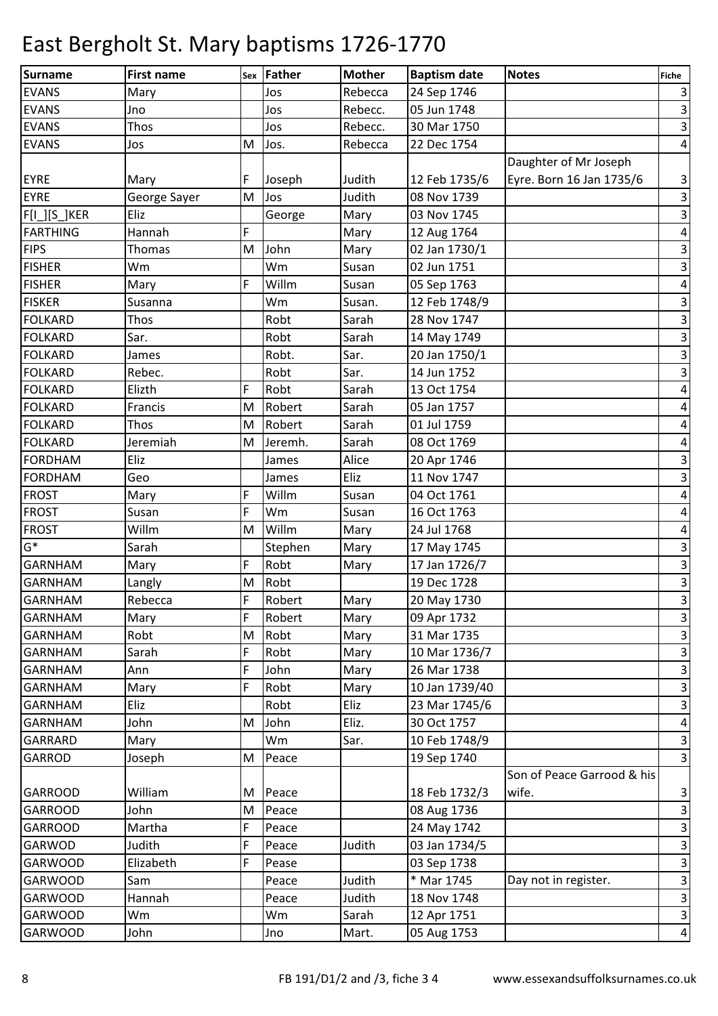| Surname         | <b>First name</b> |   | sex Father | <b>Mother</b> | <b>Baptism date</b> | <b>Notes</b>               | Fiche                     |
|-----------------|-------------------|---|------------|---------------|---------------------|----------------------------|---------------------------|
| <b>EVANS</b>    | Mary              |   | Jos        | Rebecca       | 24 Sep 1746         |                            | $\mathbf{3}$              |
| <b>EVANS</b>    | Jno               |   | Jos        | Rebecc.       | 05 Jun 1748         |                            | $\mathbf{3}$              |
| <b>EVANS</b>    | Thos              |   | Jos        | Rebecc.       | 30 Mar 1750         |                            | $\mathbf{3}$              |
| <b>EVANS</b>    | Jos               | M | Jos.       | Rebecca       | 22 Dec 1754         |                            | $\overline{a}$            |
|                 |                   |   |            |               |                     | Daughter of Mr Joseph      |                           |
| <b>EYRE</b>     | Mary              | F | Joseph     | Judith        | 12 Feb 1735/6       | Eyre. Born 16 Jan 1735/6   | $\mathsf 3$               |
| <b>EYRE</b>     | George Sayer      | M | Jos        | Judith        | 08 Nov 1739         |                            | $\overline{\mathbf{3}}$   |
| $F[1$ ][S_]KER  | Eliz              |   | George     | Mary          | 03 Nov 1745         |                            | $\mathsf 3$               |
| <b>FARTHING</b> | Hannah            | F |            | Mary          | 12 Aug 1764         |                            | $\pmb{4}$                 |
| <b>FIPS</b>     | Thomas            | M | John       | Mary          | 02 Jan 1730/1       |                            | $\mathbf{3}$              |
| <b>FISHER</b>   | Wm                |   | Wm         | Susan         | 02 Jun 1751         |                            | $\overline{\mathbf{3}}$   |
| <b>FISHER</b>   | Mary              | F | Willm      | Susan         | 05 Sep 1763         |                            | $\pmb{4}$                 |
| <b>FISKER</b>   | Susanna           |   | Wm         | Susan.        | 12 Feb 1748/9       |                            | $\mathsf{3}$              |
| <b>FOLKARD</b>  | Thos              |   | Robt       | Sarah         | 28 Nov 1747         |                            | υ                         |
| <b>FOLKARD</b>  | Sar.              |   | Robt       | Sarah         | 14 May 1749         |                            | $\overline{\mathbf{3}}$   |
| <b>FOLKARD</b>  | James             |   | Robt.      | Sar.          | 20 Jan 1750/1       |                            | $\ensuremath{\mathsf{3}}$ |
| <b>FOLKARD</b>  | Rebec.            |   | Robt       | Sar.          | 14 Jun 1752         |                            | $\overline{\mathbf{3}}$   |
| <b>FOLKARD</b>  | Elizth            | F | Robt       | Sarah         | 13 Oct 1754         |                            | $\pmb{4}$                 |
| FOLKARD         | Francis           | M | Robert     | Sarah         | 05 Jan 1757         |                            | $\pmb{4}$                 |
| <b>FOLKARD</b>  | Thos              | M | Robert     | Sarah         | 01 Jul 1759         |                            | $\pmb{4}$                 |
| <b>FOLKARD</b>  | Jeremiah          | M | Jeremh.    | Sarah         | 08 Oct 1769         |                            | $\overline{\mathbf{r}}$   |
| <b>FORDHAM</b>  | Eliz              |   | James      | Alice         | 20 Apr 1746         |                            | $\ensuremath{\mathsf{3}}$ |
| <b>FORDHAM</b>  | Geo               |   | James      | Eliz          | 11 Nov 1747         |                            | $\ensuremath{\mathsf{3}}$ |
| <b>FROST</b>    | Mary              | F | Willm      | Susan         | 04 Oct 1761         |                            | $\overline{a}$            |
| <b>FROST</b>    | Susan             | F | Wm         | Susan         | 16 Oct 1763         |                            | $\pmb{4}$                 |
| <b>FROST</b>    | Willm             | M | Willm      | Mary          | 24 Jul 1768         |                            | $\pmb{4}$                 |
| $G^*$           | Sarah             |   | Stephen    | Mary          | 17 May 1745         |                            | $\ensuremath{\mathsf{3}}$ |
| <b>GARNHAM</b>  | Mary              | F | Robt       | Mary          | 17 Jan 1726/7       |                            | $\ensuremath{\mathsf{3}}$ |
| <b>GARNHAM</b>  | Langly            | M | Robt       |               | 19 Dec 1728         |                            | $\ensuremath{\mathsf{3}}$ |
| <b>GARNHAM</b>  | Rebecca           | F | Robert     | Mary          | 20 May 1730         |                            | $\overline{\mathbf{3}}$   |
| GARNHAM         | Mary              | F | Robert     | Mary          | 09 Apr 1732         |                            | $\mathbf{3}$              |
| <b>GARNHAM</b>  | Robt              | M | Robt       | Mary          | 31 Mar 1735         |                            | 3                         |
| <b>GARNHAM</b>  | Sarah             | F | Robt       | Mary          | 10 Mar 1736/7       |                            | $\mathbf{3}$              |
| <b>GARNHAM</b>  | Ann               | F | John       | Mary          | 26 Mar 1738         |                            | $\mathbf{3}$              |
| <b>GARNHAM</b>  | Mary              | F | Robt       | Mary          | 10 Jan 1739/40      |                            | $\mathbf{3}$              |
| <b>GARNHAM</b>  | Eliz              |   | Robt       | Eliz          | 23 Mar 1745/6       |                            | $\overline{\mathbf{3}}$   |
| <b>GARNHAM</b>  | John              | M | John       | Eliz.         | 30 Oct 1757         |                            | $\overline{a}$            |
| <b>GARRARD</b>  | Mary              |   | Wm         | Sar.          | 10 Feb 1748/9       |                            | $\ensuremath{\mathsf{3}}$ |
| <b>GARROD</b>   | Joseph            | M | Peace      |               | 19 Sep 1740         |                            | $\mathbf{3}$              |
|                 |                   |   |            |               |                     | Son of Peace Garrood & his |                           |
| <b>GARROOD</b>  | William           | M | Peace      |               | 18 Feb 1732/3       | wife.                      | $\mathbf{3}$              |
| <b>GARROOD</b>  | John              | M | Peace      |               | 08 Aug 1736         |                            | $\ensuremath{\mathsf{3}}$ |
| <b>GARROOD</b>  | Martha            | F | Peace      |               | 24 May 1742         |                            | $\mathsf 3$               |
| GARWOD          | Judith            | F | Peace      | Judith        | 03 Jan 1734/5       |                            | $\mathbf{3}$              |
| <b>GARWOOD</b>  | Elizabeth         | F | Pease      |               | 03 Sep 1738         |                            | $\mathbf{3}$              |
| <b>GARWOOD</b>  | Sam               |   | Peace      | Judith        | * Mar 1745          | Day not in register.       | $\mathbf{3}$              |
| <b>GARWOOD</b>  | Hannah            |   | Peace      | Judith        | 18 Nov 1748         |                            | $\ensuremath{\mathsf{3}}$ |
| <b>GARWOOD</b>  | Wm                |   | Wm         | Sarah         | 12 Apr 1751         |                            | $\mathbf{3}$              |
| <b>GARWOOD</b>  | John              |   | Jno        | Mart.         | 05 Aug 1753         |                            | $\overline{a}$            |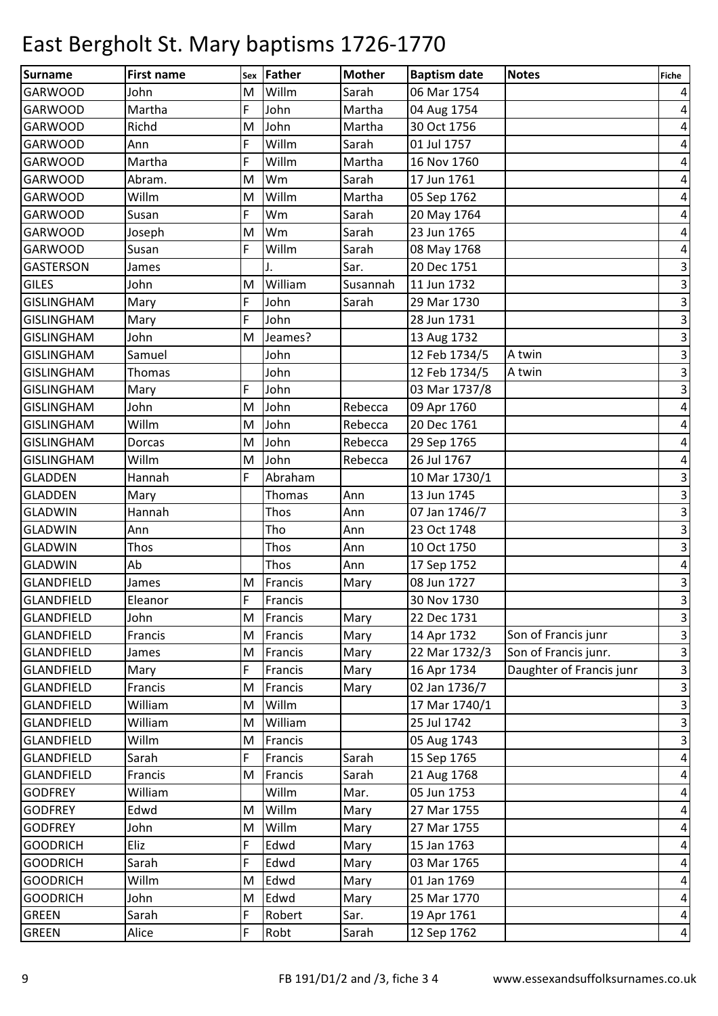| <b>Surname</b>    | <b>First name</b> | Sex | Father  | <b>Mother</b> | <b>Baptism date</b> | <b>Notes</b>             | Fiche                     |
|-------------------|-------------------|-----|---------|---------------|---------------------|--------------------------|---------------------------|
| <b>GARWOOD</b>    | John              | M   | Willm   | Sarah         | 06 Mar 1754         |                          | 4                         |
| <b>GARWOOD</b>    | Martha            | F   | John    | Martha        | 04 Aug 1754         |                          | 4                         |
| <b>GARWOOD</b>    | Richd             | M   | John    | Martha        | 30 Oct 1756         |                          | 4                         |
| <b>GARWOOD</b>    | Ann               | F   | Willm   | Sarah         | 01 Jul 1757         |                          | 4                         |
| <b>GARWOOD</b>    | Martha            | F   | Willm   | Martha        | 16 Nov 1760         |                          | 4                         |
| <b>GARWOOD</b>    | Abram.            | M   | Wm      | Sarah         | 17 Jun 1761         |                          | 4                         |
| <b>GARWOOD</b>    | Willm             | M   | Willm   | Martha        | 05 Sep 1762         |                          | 4                         |
| <b>GARWOOD</b>    | Susan             | F   | Wm      | Sarah         | 20 May 1764         |                          | 4                         |
| <b>GARWOOD</b>    | Joseph            | M   | Wm      | Sarah         | 23 Jun 1765         |                          | 4                         |
| <b>GARWOOD</b>    | Susan             | F   | Willm   | Sarah         | 08 May 1768         |                          | 4                         |
| <b>GASTERSON</b>  | James             |     | J.      | Sar.          | 20 Dec 1751         |                          | $\ensuremath{\mathsf{3}}$ |
| <b>GILES</b>      | John              | M   | William | Susannah      | 11 Jun 1732         |                          | $\mathbf{3}$              |
| <b>GISLINGHAM</b> | Mary              | F   | John    | Sarah         | 29 Mar 1730         |                          | $\mathbf{3}$              |
| <b>GISLINGHAM</b> | Mary              | F   | John    |               | 28 Jun 1731         |                          | $\overline{\mathbf{3}}$   |
| <b>GISLINGHAM</b> | John              | M   | Jeames? |               | 13 Aug 1732         |                          | $\overline{\mathbf{3}}$   |
| <b>GISLINGHAM</b> | Samuel            |     | John    |               | 12 Feb 1734/5       | A twin                   | $\mathsf 3$               |
| <b>GISLINGHAM</b> | Thomas            |     | John    |               | 12 Feb 1734/5       | A twin                   | $\overline{\mathbf{3}}$   |
| <b>GISLINGHAM</b> | Mary              | F   | John    |               | 03 Mar 1737/8       |                          | $\overline{\mathbf{3}}$   |
| <b>GISLINGHAM</b> | John              | M   | John    | Rebecca       | 09 Apr 1760         |                          | 4                         |
| <b>GISLINGHAM</b> | Willm             | M   | John    | Rebecca       | 20 Dec 1761         |                          | 4                         |
| <b>GISLINGHAM</b> | Dorcas            | M   | John    | Rebecca       | 29 Sep 1765         |                          | 4                         |
| <b>GISLINGHAM</b> | Willm             | M   | John    | Rebecca       | 26 Jul 1767         |                          | 4                         |
| <b>GLADDEN</b>    | Hannah            | F   | Abraham |               | 10 Mar 1730/1       |                          | 3                         |
| <b>GLADDEN</b>    | Mary              |     | Thomas  | Ann           | 13 Jun 1745         |                          | 3                         |
| <b>GLADWIN</b>    | Hannah            |     | Thos    | Ann           | 07 Jan 1746/7       |                          | $\mathbf{3}$              |
| <b>GLADWIN</b>    | Ann               |     | Tho     | Ann           | 23 Oct 1748         |                          | $\mathbf{3}$              |
| <b>GLADWIN</b>    | Thos              |     | Thos    | Ann           | 10 Oct 1750         |                          | $\overline{\mathbf{3}}$   |
| <b>GLADWIN</b>    | Ab                |     | Thos    | Ann           | 17 Sep 1752         |                          | 4                         |
| <b>GLANDFIELD</b> | James             | M   | Francis | Mary          | 08 Jun 1727         |                          | 3                         |
| <b>GLANDFIELD</b> | Eleanor           | F   | Francis |               | 30 Nov 1730         |                          | $\overline{3}$            |
| <b>GLANDFIELD</b> | John              | М   | Francis | Mary          | 22 Dec 1731         |                          | $\overline{\mathbf{3}}$   |
| <b>GLANDFIELD</b> | Francis           | M   | Francis | Mary          | 14 Apr 1732         | Son of Francis junr      | $\vert$ 3                 |
| <b>GLANDFIELD</b> | James             | M   | Francis | Mary          | 22 Mar 1732/3       | Son of Francis junr.     | $\overline{\mathbf{3}}$   |
| <b>GLANDFIELD</b> | Mary              | F   | Francis | Mary          | 16 Apr 1734         | Daughter of Francis junr | $\vert$ 3                 |
| <b>GLANDFIELD</b> | Francis           | M   | Francis | Mary          | 02 Jan 1736/7       |                          | $\overline{\mathbf{3}}$   |
| <b>GLANDFIELD</b> | William           | M   | Willm   |               | 17 Mar 1740/1       |                          | $\overline{3}$            |
| <b>GLANDFIELD</b> | William           | M   | William |               | 25 Jul 1742         |                          | $\overline{\mathbf{3}}$   |
| <b>GLANDFIELD</b> | Willm             | M   | Francis |               | 05 Aug 1743         |                          | $\overline{\mathbf{3}}$   |
| <b>GLANDFIELD</b> | Sarah             | F   | Francis | Sarah         | 15 Sep 1765         |                          | $\overline{a}$            |
| <b>GLANDFIELD</b> | Francis           | M   | Francis | Sarah         | 21 Aug 1768         |                          | $\pmb{4}$                 |
| <b>GODFREY</b>    | William           |     | Willm   | Mar.          | 05 Jun 1753         |                          | $\overline{\mathbf{r}}$   |
| <b>GODFREY</b>    | Edwd              | M   | Willm   | Mary          | 27 Mar 1755         |                          | $\pmb{4}$                 |
| <b>GODFREY</b>    | John              | M   | Willm   | Mary          | 27 Mar 1755         |                          | $\overline{\mathbf{r}}$   |
| <b>GOODRICH</b>   | Eliz              | F   | Edwd    | Mary          | 15 Jan 1763         |                          | 4                         |
| <b>GOODRICH</b>   | Sarah             | F   | Edwd    | Mary          | 03 Mar 1765         |                          | 4                         |
| <b>GOODRICH</b>   | Willm             | M   | Edwd    | Mary          | 01 Jan 1769         |                          | 4                         |
| <b>GOODRICH</b>   | John              | M   | Edwd    | Mary          | 25 Mar 1770         |                          | $\pmb{4}$                 |
| <b>GREEN</b>      | Sarah             | F   | Robert  | Sar.          | 19 Apr 1761         |                          | $\vert 4 \vert$           |
| <b>GREEN</b>      | Alice             | F   | Robt    | Sarah         | 12 Sep 1762         |                          | $\vert 4 \vert$           |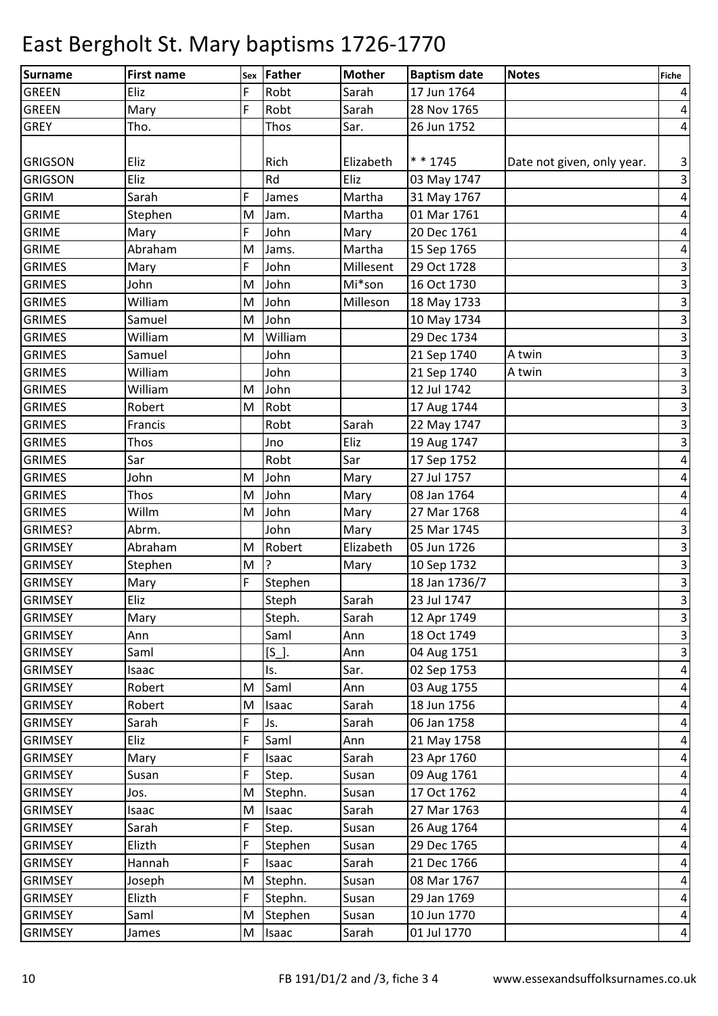| <b>Surname</b> | <b>First name</b> | Sex | Father  | <b>Mother</b> | <b>Baptism date</b> | <b>Notes</b>               | Fiche                   |
|----------------|-------------------|-----|---------|---------------|---------------------|----------------------------|-------------------------|
| <b>GREEN</b>   | Eliz              | F   | Robt    | Sarah         | 17 Jun 1764         |                            | $\vert 4 \vert$         |
| <b>GREEN</b>   | Mary              | F   | Robt    | Sarah         | 28 Nov 1765         |                            | $\vert 4 \vert$         |
| <b>GREY</b>    | Tho.              |     | Thos    | Sar.          | 26 Jun 1752         |                            | $\vert 4 \vert$         |
|                |                   |     |         |               |                     |                            |                         |
| <b>GRIGSON</b> | Eliz              |     | Rich    | Elizabeth     | $* * 1745$          | Date not given, only year. | $\vert$ 3               |
| <b>GRIGSON</b> | Eliz              |     | Rd      | Eliz          | 03 May 1747         |                            | $\overline{\mathbf{3}}$ |
| <b>GRIM</b>    | Sarah             | F   | James   | Martha        | 31 May 1767         |                            | $\vert 4 \vert$         |
| <b>GRIME</b>   | Stephen           | M   | Jam.    | Martha        | 01 Mar 1761         |                            | $\pmb{4}$               |
| <b>GRIME</b>   | Mary              | F   | John    | Mary          | 20 Dec 1761         |                            | $\vert 4 \vert$         |
| <b>GRIME</b>   | Abraham           | M   | Jams.   | Martha        | 15 Sep 1765         |                            | $\vert 4 \vert$         |
| <b>GRIMES</b>  | Mary              | F   | John    | Millesent     | 29 Oct 1728         |                            | $\overline{\mathbf{3}}$ |
| <b>GRIMES</b>  | John              | M   | John    | Mi*son        | 16 Oct 1730         |                            | $\overline{3}$          |
| <b>GRIMES</b>  | William           | M   | John    | Milleson      | 18 May 1733         |                            | $\mathsf 3$             |
| <b>GRIMES</b>  | Samuel            | M   | John    |               | 10 May 1734         |                            | $\overline{\mathbf{3}}$ |
| <b>GRIMES</b>  | William           | M   | William |               | 29 Dec 1734         |                            | $\overline{3}$          |
| <b>GRIMES</b>  | Samuel            |     | John    |               | 21 Sep 1740         | A twin                     | $\overline{\mathbf{3}}$ |
| <b>GRIMES</b>  | William           |     | John    |               | 21 Sep 1740         | A twin                     | $\overline{\mathbf{3}}$ |
| <b>GRIMES</b>  | William           | M   | John    |               | 12 Jul 1742         |                            | $\overline{3}$          |
| <b>GRIMES</b>  | Robert            | M   | Robt    |               | 17 Aug 1744         |                            | $\overline{\mathbf{3}}$ |
| <b>GRIMES</b>  | Francis           |     | Robt    | Sarah         | 22 May 1747         |                            | $\overline{\mathbf{3}}$ |
| <b>GRIMES</b>  | Thos              |     | Jno     | Eliz          | 19 Aug 1747         |                            | $\overline{3}$          |
| <b>GRIMES</b>  | Sar               |     | Robt    | Sar           | 17 Sep 1752         |                            | $\vert 4 \vert$         |
| <b>GRIMES</b>  | John              | M   | John    | Mary          | 27 Jul 1757         |                            | $\vert 4 \vert$         |
| <b>GRIMES</b>  | Thos              | M   | John    | Mary          | 08 Jan 1764         |                            | $\overline{a}$          |
| <b>GRIMES</b>  | Willm             | M   | John    | Mary          | 27 Mar 1768         |                            | $\vert$                 |
| GRIMES?        | Abrm.             |     | John    | Mary          | 25 Mar 1745         |                            | $\mathsf 3$             |
| <b>GRIMSEY</b> | Abraham           | M   | Robert  | Elizabeth     | 05 Jun 1726         |                            | $\vert$ 3               |
| <b>GRIMSEY</b> | Stephen           | M   | ?       | Mary          | 10 Sep 1732         |                            | $\overline{\mathbf{3}}$ |
| <b>GRIMSEY</b> | Mary              | F   | Stephen |               | 18 Jan 1736/7       |                            | $\overline{\mathbf{3}}$ |
| <b>GRIMSEY</b> | Eliz              |     | Steph   | Sarah         | 23 Jul 1747         |                            | $\overline{3}$          |
| <b>GRIMSEY</b> | Mary              |     | Steph.  | Sarah         | 12 Apr 1749         |                            | $\overline{3}$          |
| <b>GRIMSEY</b> | Ann               |     | Saml    | Ann           | 18 Oct 1749         |                            | $\vert$ 3               |
| <b>GRIMSEY</b> | Saml              |     | $[S_$ . | Ann           | 04 Aug 1751         |                            | $\overline{\mathbf{3}}$ |
| <b>GRIMSEY</b> | Isaac             |     | ls.     | Sar.          | 02 Sep 1753         |                            | $\vert 4 \vert$         |
| <b>GRIMSEY</b> | Robert            | M   | Saml    | Ann           | 03 Aug 1755         |                            | $\vert$                 |
| <b>GRIMSEY</b> | Robert            | M   | Isaac   | Sarah         | 18 Jun 1756         |                            | $\overline{a}$          |
| <b>GRIMSEY</b> | Sarah             | F   | Js.     | Sarah         | 06 Jan 1758         |                            | $\vert 4 \vert$         |
| <b>GRIMSEY</b> | Eliz              | F   | Saml    | Ann           | 21 May 1758         |                            | $\overline{a}$          |
| <b>GRIMSEY</b> | Mary              | F   | Isaac   | Sarah         | 23 Apr 1760         |                            | $\vert 4 \vert$         |
| <b>GRIMSEY</b> | Susan             | F   | Step.   | Susan         | 09 Aug 1761         |                            | $\vert 4 \vert$         |
| <b>GRIMSEY</b> | Jos.              | M   | Stephn. | Susan         | 17 Oct 1762         |                            | $\vert 4 \vert$         |
| <b>GRIMSEY</b> | Isaac             | M   | Isaac   | Sarah         | 27 Mar 1763         |                            | $\vert 4 \vert$         |
| <b>GRIMSEY</b> | Sarah             | F   | Step.   | Susan         | 26 Aug 1764         |                            | $\overline{a}$          |
| <b>GRIMSEY</b> | Elizth            | F   | Stephen | Susan         | 29 Dec 1765         |                            | $\vert 4 \vert$         |
| <b>GRIMSEY</b> | Hannah            | F   | Isaac   | Sarah         | 21 Dec 1766         |                            | $\overline{a}$          |
| <b>GRIMSEY</b> | Joseph            | M   | Stephn. | Susan         | 08 Mar 1767         |                            | $\vert 4 \vert$         |
| <b>GRIMSEY</b> | Elizth            | F   | Stephn. | Susan         | 29 Jan 1769         |                            | $\vert 4 \vert$         |
| <b>GRIMSEY</b> | Saml              | M   | Stephen | Susan         | 10 Jun 1770         |                            | $\vert 4 \vert$         |
| <b>GRIMSEY</b> | James             | M   | Isaac   | Sarah         | 01 Jul 1770         |                            | $\vert 4 \vert$         |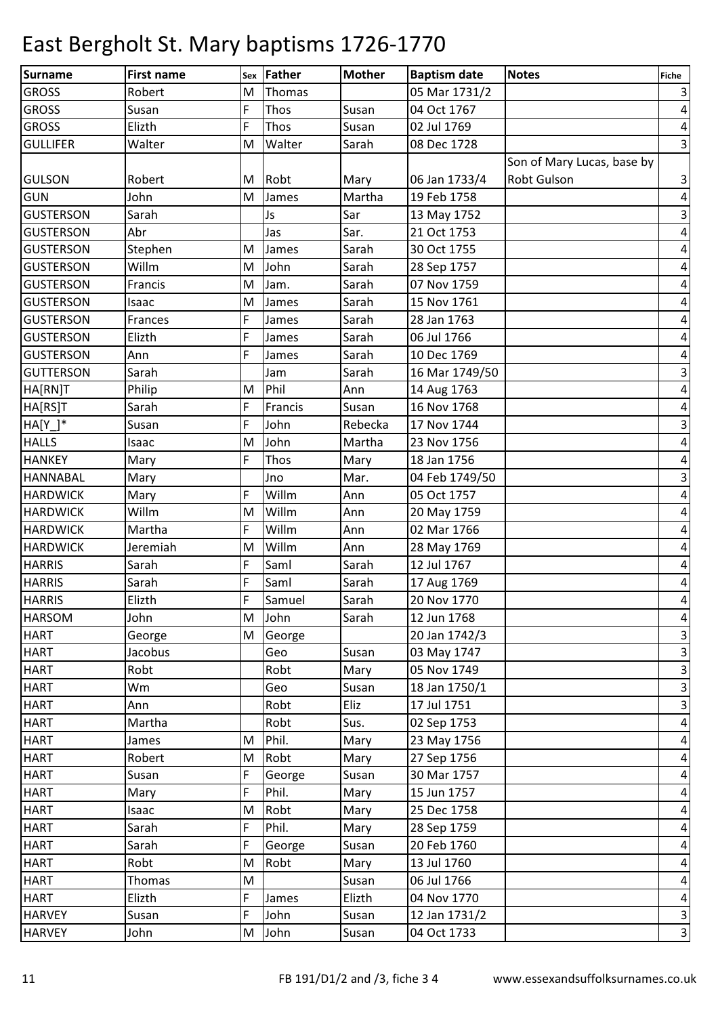| Surname          | <b>First name</b> |   | sex Father | <b>Mother</b> | <b>Baptism date</b> | <b>Notes</b>               | <b>Fiche</b>              |
|------------------|-------------------|---|------------|---------------|---------------------|----------------------------|---------------------------|
| <b>GROSS</b>     | Robert            | M | Thomas     |               | 05 Mar 1731/2       |                            | $\vert$ 3                 |
| <b>GROSS</b>     | Susan             | F | Thos       | Susan         | 04 Oct 1767         |                            | $\vert 4 \vert$           |
| <b>GROSS</b>     | Elizth            | F | Thos       | Susan         | 02 Jul 1769         |                            | $\vert 4 \vert$           |
| <b>GULLIFER</b>  | Walter            | M | Walter     | Sarah         | 08 Dec 1728         |                            | $\vert$ 3                 |
|                  |                   |   |            |               |                     | Son of Mary Lucas, base by |                           |
| <b>GULSON</b>    | Robert            | M | Robt       | Mary          | 06 Jan 1733/4       | <b>Robt Gulson</b>         | $\overline{\mathbf{3}}$   |
| <b>GUN</b>       | John              | M | James      | Martha        | 19 Feb 1758         |                            | $\vert 4 \vert$           |
| <b>GUSTERSON</b> | Sarah             |   | Js         | Sar           | 13 May 1752         |                            | $\overline{\mathbf{3}}$   |
| <b>GUSTERSON</b> | Abr               |   | Jas        | Sar.          | 21 Oct 1753         |                            | $\vert 4 \vert$           |
| <b>GUSTERSON</b> | Stephen           | M | James      | Sarah         | 30 Oct 1755         |                            | $\overline{a}$            |
| <b>GUSTERSON</b> | Willm             | M | John       | Sarah         | 28 Sep 1757         |                            | $\vert 4 \vert$           |
| <b>GUSTERSON</b> | Francis           | M | Jam.       | Sarah         | 07 Nov 1759         |                            | $\pmb{4}$                 |
| <b>GUSTERSON</b> | Isaac             | M | James      | Sarah         | 15 Nov 1761         |                            | $\overline{a}$            |
| <b>GUSTERSON</b> | Frances           | F | James      | Sarah         | 28 Jan 1763         |                            | $\vert 4 \vert$           |
| <b>GUSTERSON</b> | Elizth            | F | James      | Sarah         | 06 Jul 1766         |                            | $\overline{\mathbf{r}}$   |
| <b>GUSTERSON</b> | Ann               | F | James      | Sarah         | 10 Dec 1769         |                            | $\vert 4 \vert$           |
| <b>GUTTERSON</b> | Sarah             |   | Jam        | Sarah         | 16 Mar 1749/50      |                            | $\overline{\mathbf{3}}$   |
| HA[RN]T          | Philip            | M | Phil       | Ann           | 14 Aug 1763         |                            | $\overline{\mathbf{r}}$   |
| HA[RS]T          | Sarah             | F | Francis    | Susan         | 16 Nov 1768         |                            | $\pmb{4}$                 |
| $HA[Y_$          | Susan             | F | John       | Rebecka       | 17 Nov 1744         |                            | $\overline{\mathbf{3}}$   |
| <b>HALLS</b>     | Isaac             | M | John       | Martha        | 23 Nov 1756         |                            | $\vert 4 \vert$           |
| <b>HANKEY</b>    | Mary              | F | Thos       | Mary          | 18 Jan 1756         |                            | $\overline{a}$            |
| <b>HANNABAL</b>  | Mary              |   | Jno        | Mar.          | 04 Feb 1749/50      |                            | $\ensuremath{\mathsf{3}}$ |
| <b>HARDWICK</b>  | Mary              | F | Willm      | Ann           | 05 Oct 1757         |                            | $\overline{a}$            |
| <b>HARDWICK</b>  | Willm             | M | Willm      | Ann           | 20 May 1759         |                            | $\vert 4 \vert$           |
| <b>HARDWICK</b>  | Martha            | F | Willm      | Ann           | 02 Mar 1766         |                            | $\vert 4 \vert$           |
| <b>HARDWICK</b>  | Jeremiah          | M | Willm      | Ann           | 28 May 1769         |                            | $\vert 4 \vert$           |
| <b>HARRIS</b>    | Sarah             | F | Saml       | Sarah         | 12 Jul 1767         |                            | $\overline{a}$            |
| <b>HARRIS</b>    | Sarah             | F | Saml       | Sarah         | 17 Aug 1769         |                            | $\overline{a}$            |
| <b>HARRIS</b>    | Elizth            | F | Samuel     | Sarah         | 20 Nov 1770         |                            | $\vert 4 \vert$           |
| <b>HARSOM</b>    | John              |   | M John     | Sarah         | 12 Jun 1768         |                            | $\overline{a}$            |
| <b>HART</b>      | George            | M | George     |               | 20 Jan 1742/3       |                            | $\vert$ 3                 |
| <b>HART</b>      | Jacobus           |   | Geo        | Susan         | 03 May 1747         |                            | $\overline{\mathbf{3}}$   |
| <b>HART</b>      | Robt              |   | Robt       | Mary          | 05 Nov 1749         |                            | $\overline{\mathbf{3}}$   |
| <b>HART</b>      | Wm                |   | Geo        | Susan         | 18 Jan 1750/1       |                            | $\overline{\mathbf{3}}$   |
| <b>HART</b>      | Ann               |   | Robt       | Eliz          | 17 Jul 1751         |                            | $\overline{3}$            |
| <b>HART</b>      | Martha            |   | Robt       | Sus.          | 02 Sep 1753         |                            | $\vert 4 \vert$           |
| <b>HART</b>      | James             | M | Phil.      | Mary          | 23 May 1756         |                            | $\vert 4 \vert$           |
| <b>HART</b>      | Robert            | M | Robt       | Mary          | 27 Sep 1756         |                            | $\vert 4 \vert$           |
| <b>HART</b>      | Susan             | F | George     | Susan         | 30 Mar 1757         |                            | $\vert 4 \vert$           |
| <b>HART</b>      | Mary              | F | Phil.      | Mary          | 15 Jun 1757         |                            | $\vert 4 \vert$           |
| <b>HART</b>      | Isaac             | M | Robt       | Mary          | 25 Dec 1758         |                            | $\vert 4 \vert$           |
| <b>HART</b>      | Sarah             | F | Phil.      | Mary          | 28 Sep 1759         |                            | $\vert 4 \vert$           |
| <b>HART</b>      | Sarah             | F | George     | Susan         | 20 Feb 1760         |                            | $\vert 4 \vert$           |
| <b>HART</b>      | Robt              | M | Robt       | Mary          | 13 Jul 1760         |                            | $\vert 4 \vert$           |
| <b>HART</b>      | Thomas            | M |            | Susan         | 06 Jul 1766         |                            | $\vert 4 \vert$           |
| <b>HART</b>      | Elizth            | F | James      | Elizth        | 04 Nov 1770         |                            | $\vert 4 \vert$           |
| <b>HARVEY</b>    | Susan             | F | John       | Susan         | 12 Jan 1731/2       |                            | $\overline{\mathbf{3}}$   |
| <b>HARVEY</b>    | John              | M | John       | Susan         | 04 Oct 1733         |                            | $\overline{3}$            |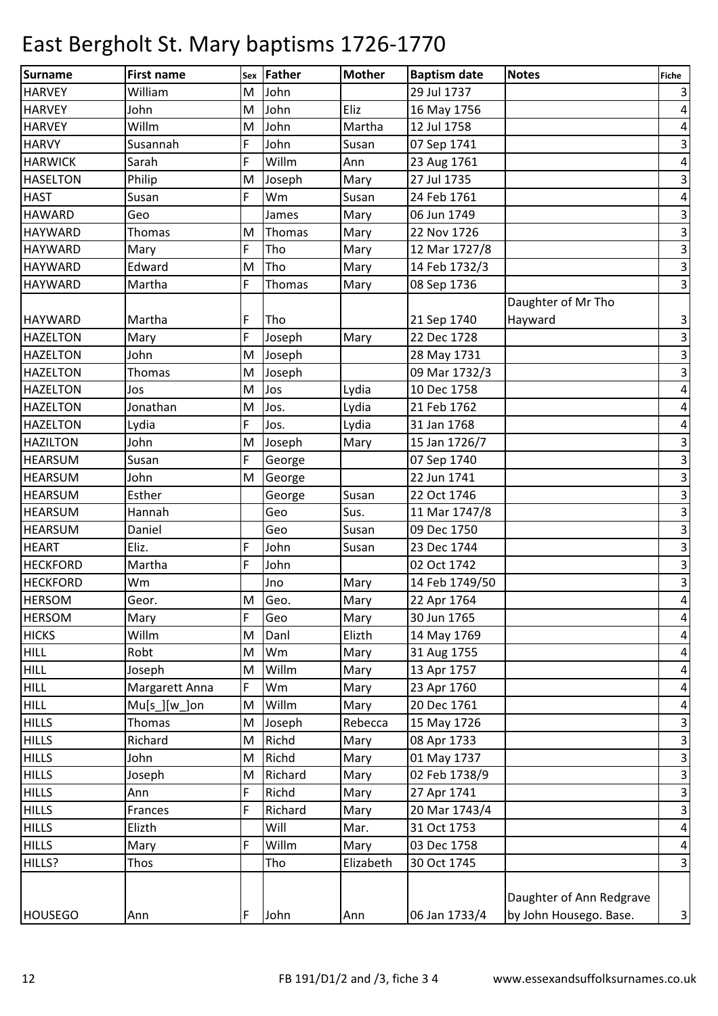| Surname         | <b>First name</b> | <b>Sex</b> | Father  | <b>Mother</b> | <b>Baptism date</b> | <b>Notes</b>             | <b>Fiche</b>            |
|-----------------|-------------------|------------|---------|---------------|---------------------|--------------------------|-------------------------|
| <b>HARVEY</b>   | William           | M          | John    |               | 29 Jul 1737         |                          | $\vert$                 |
| <b>HARVEY</b>   | John              | M          | John    | Eliz          | 16 May 1756         |                          | $\vert 4 \vert$         |
| <b>HARVEY</b>   | Willm             | M          | John    | Martha        | 12 Jul 1758         |                          | $\vert 4 \vert$         |
| <b>HARVY</b>    | Susannah          | F          | John    | Susan         | 07 Sep 1741         |                          | $\overline{\mathbf{3}}$ |
| <b>HARWICK</b>  | Sarah             | F          | Willm   | Ann           | 23 Aug 1761         |                          | $\vert 4 \vert$         |
| <b>HASELTON</b> | Philip            | M          | Joseph  | Mary          | 27 Jul 1735         |                          | $\vert$ 3               |
| <b>HAST</b>     | Susan             | F          | Wm      | Susan         | 24 Feb 1761         |                          | $\vert 4 \vert$         |
| <b>HAWARD</b>   | Geo               |            | James   | Mary          | 06 Jun 1749         |                          | $\mathbf{3}$            |
| <b>HAYWARD</b>  | Thomas            | M          | Thomas  | Mary          | 22 Nov 1726         |                          | $\overline{\mathbf{3}}$ |
| <b>HAYWARD</b>  | Mary              | F          | Tho     | Mary          | 12 Mar 1727/8       |                          | $\overline{\mathbf{3}}$ |
| <b>HAYWARD</b>  | Edward            | M          | Tho     | Mary          | 14 Feb 1732/3       |                          | $\overline{3}$          |
| <b>HAYWARD</b>  | Martha            | F          | Thomas  | Mary          | 08 Sep 1736         |                          | $\vert$ 3               |
|                 |                   |            |         |               |                     | Daughter of Mr Tho       |                         |
| <b>HAYWARD</b>  | Martha            | F          | Tho     |               | 21 Sep 1740         | Hayward                  | $\vert$ 3               |
| <b>HAZELTON</b> | Mary              | F          | Joseph  | Mary          | 22 Dec 1728         |                          | $\overline{\mathbf{3}}$ |
| <b>HAZELTON</b> | John              | M          | Joseph  |               | 28 May 1731         |                          | $\overline{\mathbf{3}}$ |
| <b>HAZELTON</b> | Thomas            | M          | Joseph  |               | 09 Mar 1732/3       |                          | $\vert$ 3               |
| <b>HAZELTON</b> | Jos               | M          | Jos     | Lydia         | 10 Dec 1758         |                          | $\vert 4 \vert$         |
| <b>HAZELTON</b> | Jonathan          | M          | Jos.    | Lydia         | 21 Feb 1762         |                          | $\overline{a}$          |
| <b>HAZELTON</b> | Lydia             | F          | Jos.    | Lydia         | 31 Jan 1768         |                          | $\vert$                 |
| <b>HAZILTON</b> | John              | M          | Joseph  | Mary          | 15 Jan 1726/7       |                          | $\mathbf{3}$            |
| <b>HEARSUM</b>  | Susan             | F          | George  |               | 07 Sep 1740         |                          | $\vert$ 3               |
| <b>HEARSUM</b>  | John              | M          | George  |               | 22 Jun 1741         |                          | $\overline{\mathbf{3}}$ |
| <b>HEARSUM</b>  | Esther            |            | George  | Susan         | 22 Oct 1746         |                          | $\vert$ 3               |
| <b>HEARSUM</b>  | Hannah            |            | Geo     | Sus.          | 11 Mar 1747/8       |                          | $\overline{\mathbf{3}}$ |
| <b>HEARSUM</b>  | Daniel            |            | Geo     | Susan         | 09 Dec 1750         |                          | $\overline{3}$          |
| <b>HEART</b>    | Eliz.             | F          | John    | Susan         | 23 Dec 1744         |                          | $\mathbf{3}$            |
| <b>HECKFORD</b> | Martha            | F          | John    |               | 02 Oct 1742         |                          | $\overline{\mathbf{3}}$ |
| <b>HECKFORD</b> | Wm                |            | Jno     | Mary          | 14 Feb 1749/50      |                          | $\overline{\mathbf{3}}$ |
| <b>HERSOM</b>   | Geor.             |            | M Geo.  | Mary          | 22 Apr 1764         |                          | $\vert$                 |
| <b>HERSOM</b>   | Mary              | F          | Geo     | Mary          | 30 Jun 1765         |                          | $\overline{a}$          |
| <b>HICKS</b>    | Willm             | M          | Danl    | Elizth        | 14 May 1769         |                          | $\vert 4 \vert$         |
| <b>HILL</b>     | Robt              | M          | Wm      | Mary          | 31 Aug 1755         |                          | $\vert 4 \vert$         |
| <b>HILL</b>     | Joseph            | M          | Willm   | Mary          | 13 Apr 1757         |                          | $\vert 4 \vert$         |
| <b>HILL</b>     | Margarett Anna    | F          | Wm      | Mary          | 23 Apr 1760         |                          | $\vert 4 \vert$         |
| <b>HILL</b>     | $Mu[s_][w_]$ on   | M          | Willm   | Mary          | 20 Dec 1761         |                          | $\vert 4 \vert$         |
| <b>HILLS</b>    | Thomas            | M          | Joseph  | Rebecca       | 15 May 1726         |                          | $\vert$ 3               |
| <b>HILLS</b>    | Richard           | M          | Richd   | Mary          | 08 Apr 1733         |                          | $\overline{\mathbf{3}}$ |
| <b>HILLS</b>    | John              | M          | Richd   | Mary          | 01 May 1737         |                          | $\overline{\mathbf{3}}$ |
| <b>HILLS</b>    | Joseph            | M          | Richard | Mary          | 02 Feb 1738/9       |                          | $\overline{\mathbf{3}}$ |
| <b>HILLS</b>    | Ann               | F          | Richd   | Mary          | 27 Apr 1741         |                          | $\overline{\mathbf{3}}$ |
| <b>HILLS</b>    | Frances           | F          | Richard | Mary          | 20 Mar 1743/4       |                          | $\overline{\mathbf{3}}$ |
| <b>HILLS</b>    | Elizth            |            | Will    | Mar.          | 31 Oct 1753         |                          | $\vert 4 \vert$         |
| <b>HILLS</b>    | Mary              | F          | Willm   | Mary          | 03 Dec 1758         |                          | $\vert 4 \vert$         |
| HILLS?          | Thos              |            | Tho     | Elizabeth     | 30 Oct 1745         |                          | $\overline{3}$          |
|                 |                   |            |         |               |                     | Daughter of Ann Redgrave |                         |
| <b>HOUSEGO</b>  | Ann               | F          | John    | Ann           | 06 Jan 1733/4       | by John Housego. Base.   | $\vert$ 3               |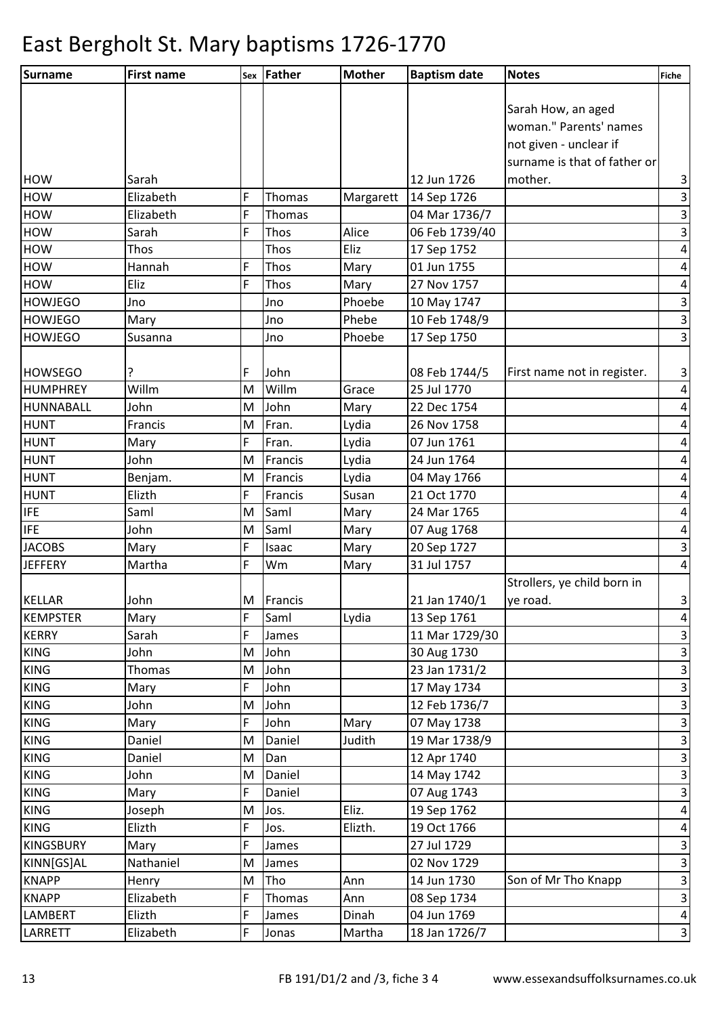| Surname          | <b>First name</b> |   | sex Father | <b>Mother</b> | <b>Baptism date</b> | <b>Notes</b>                 | Fiche                     |
|------------------|-------------------|---|------------|---------------|---------------------|------------------------------|---------------------------|
|                  |                   |   |            |               |                     |                              |                           |
|                  |                   |   |            |               |                     | Sarah How, an aged           |                           |
|                  |                   |   |            |               |                     | woman." Parents' names       |                           |
|                  |                   |   |            |               |                     | not given - unclear if       |                           |
|                  |                   |   |            |               |                     | surname is that of father or |                           |
| <b>HOW</b>       | Sarah             |   |            |               | 12 Jun 1726         | mother.                      | 3                         |
| <b>HOW</b>       | Elizabeth         | F | Thomas     | Margarett     | 14 Sep 1726         |                              | $\overline{3}$            |
| <b>HOW</b>       | Elizabeth         | F | Thomas     |               | 04 Mar 1736/7       |                              | 3                         |
| <b>HOW</b>       | Sarah             | F | Thos       | Alice         | 06 Feb 1739/40      |                              | $\overline{\mathbf{3}}$   |
| <b>HOW</b>       | Thos              |   | Thos       | Eliz          | 17 Sep 1752         |                              | 4                         |
| <b>HOW</b>       | Hannah            | F | Thos       | Mary          | 01 Jun 1755         |                              | $\overline{\mathcal{A}}$  |
| <b>HOW</b>       | Eliz              | F | Thos       | Mary          | 27 Nov 1757         |                              | $\overline{\mathbf{4}}$   |
| <b>HOWJEGO</b>   | Jno               |   | Jno        | Phoebe        | 10 May 1747         |                              | $\mathsf 3$               |
| <b>HOWJEGO</b>   | Mary              |   | Jno        | Phebe         | 10 Feb 1748/9       |                              | $\overline{3}$            |
| <b>HOWJEGO</b>   | Susanna           |   | Jno        | Phoebe        | 17 Sep 1750         |                              | $\overline{\mathbf{3}}$   |
| <b>HOWSEGO</b>   | ?                 | F | John       |               | 08 Feb 1744/5       | First name not in register.  | 3                         |
| <b>HUMPHREY</b>  | Willm             | M | Willm      | Grace         | 25 Jul 1770         |                              | $\pmb{4}$                 |
| HUNNABALL        | John              | M | John       | Mary          | 22 Dec 1754         |                              | $\pmb{4}$                 |
| <b>HUNT</b>      | Francis           | M | Fran.      | Lydia         | 26 Nov 1758         |                              | $\overline{\mathcal{A}}$  |
| <b>HUNT</b>      | Mary              | F | Fran.      | Lydia         | 07 Jun 1761         |                              | $\pmb{4}$                 |
| <b>HUNT</b>      | John              | M | Francis    | Lydia         | 24 Jun 1764         |                              | 4                         |
| <b>HUNT</b>      | Benjam.           | M | Francis    | Lydia         | 04 May 1766         |                              | 4                         |
| <b>HUNT</b>      | Elizth            | F | Francis    | Susan         | 21 Oct 1770         |                              | $\pmb{4}$                 |
| <b>IFE</b>       | Saml              | M | Saml       | Mary          | 24 Mar 1765         |                              | $\overline{\mathbf{4}}$   |
| <b>IFE</b>       | John              | M | Saml       | Mary          | 07 Aug 1768         |                              | $\pmb{4}$                 |
| <b>JACOBS</b>    | Mary              | F | Isaac      | Mary          | 20 Sep 1727         |                              | 3                         |
| <b>JEFFERY</b>   | Martha            | F | Wm         | Mary          | 31 Jul 1757         |                              | $\pmb{4}$                 |
|                  |                   |   |            |               |                     | Strollers, ye child born in  |                           |
| <b>KELLAR</b>    | John              |   | M Francis  |               | 21 Jan 1740/1       | ye road.                     | 3                         |
| <b>KEMPSTER</b>  | Mary              | F | Saml       | Lydia         | 13 Sep 1761         |                              | 4                         |
| <b>KERRY</b>     | Sarah             | F | James      |               | 11 Mar 1729/30      |                              | 3                         |
| <b>KING</b>      | John              | M | John       |               | 30 Aug 1730         |                              | $\mathsf 3$               |
| <b>KING</b>      | Thomas            | M | John       |               | 23 Jan 1731/2       |                              | 3                         |
| <b>KING</b>      | Mary              | F | John       |               | 17 May 1734         |                              | 3                         |
| <b>KING</b>      | John              | M | John       |               | 12 Feb 1736/7       |                              | $\mathsf{3}$              |
| <b>KING</b>      | Mary              | F | John       | Mary          | 07 May 1738         |                              | $\overline{\mathbf{3}}$   |
| <b>KING</b>      | Daniel            | M | Daniel     | Judith        | 19 Mar 1738/9       |                              | $\mathsf 3$               |
| <b>KING</b>      | Daniel            | M | Dan        |               | 12 Apr 1740         |                              | $\ensuremath{\mathsf{3}}$ |
| <b>KING</b>      | John              | M | Daniel     |               | 14 May 1742         |                              | $\overline{3}$            |
| <b>KING</b>      | Mary              | F | Daniel     |               | 07 Aug 1743         |                              | 3                         |
| <b>KING</b>      | Joseph            | M | Jos.       | Eliz.         | 19 Sep 1762         |                              | $\overline{\mathbf{r}}$   |
| <b>KING</b>      | Elizth            | F | Jos.       | Elizth.       | 19 Oct 1766         |                              | $\overline{\mathcal{A}}$  |
| <b>KINGSBURY</b> | Mary              | F | James      |               | 27 Jul 1729         |                              | $\mathsf 3$               |
| KINN[GS]AL       | Nathaniel         | M | James      |               | 02 Nov 1729         |                              | $\mathsf 3$               |
| <b>KNAPP</b>     | Henry             | M | Tho        | Ann           | 14 Jun 1730         | Son of Mr Tho Knapp          | $\mathsf{3}$              |
| <b>KNAPP</b>     | Elizabeth         | F | Thomas     | Ann           | 08 Sep 1734         |                              | $\mathsf 3$               |
| <b>LAMBERT</b>   | Elizth            | F | James      | Dinah         | 04 Jun 1769         |                              | 4                         |
| LARRETT          | Elizabeth         | F | Jonas      | Martha        | 18 Jan 1726/7       |                              | $\mathsf 3$               |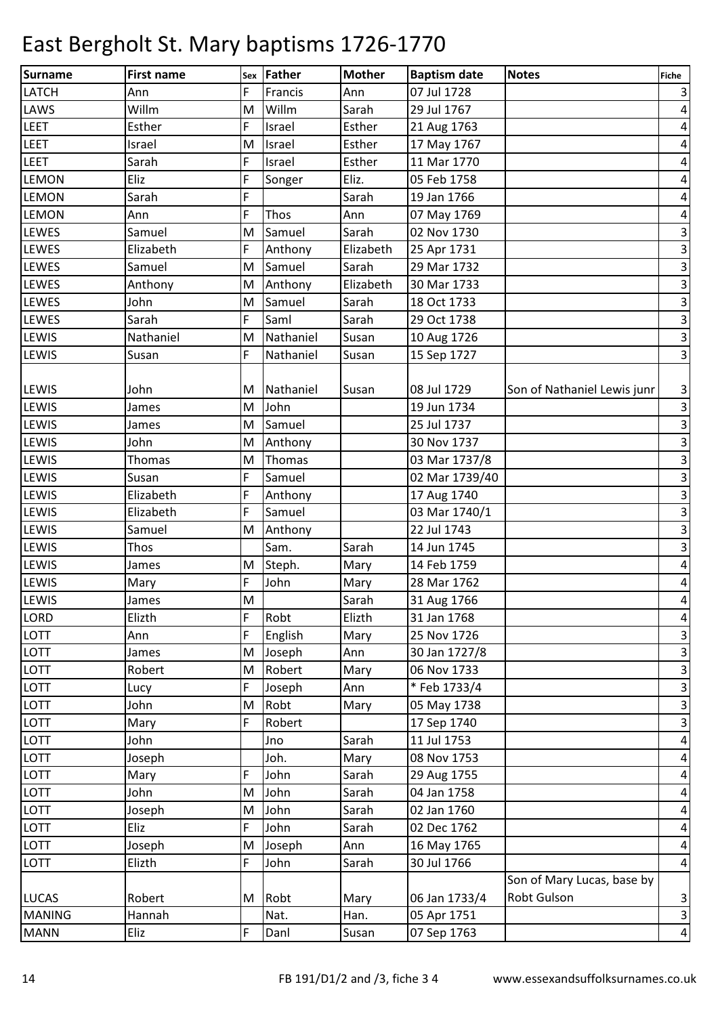| Surname       | <b>First name</b> | Sex | Father    | <b>Mother</b> | <b>Baptism date</b> | <b>Notes</b>                | Fiche                     |
|---------------|-------------------|-----|-----------|---------------|---------------------|-----------------------------|---------------------------|
| <b>LATCH</b>  | Ann               | F   | Francis   | Ann           | 07 Jul 1728         |                             | 3                         |
| LAWS          | Willm             | M   | Willm     | Sarah         | 29 Jul 1767         |                             | $\pmb{4}$                 |
| <b>LEET</b>   | Esther            | F   | Israel    | Esther        | 21 Aug 1763         |                             | 4                         |
| <b>LEET</b>   | Israel            | M   | Israel    | Esther        | 17 May 1767         |                             | 4                         |
| <b>LEET</b>   | Sarah             | F   | Israel    | Esther        | 11 Mar 1770         |                             | 4                         |
| <b>LEMON</b>  | Eliz              | F   | Songer    | Eliz.         | 05 Feb 1758         |                             | 4                         |
| <b>LEMON</b>  | Sarah             | F   |           | Sarah         | 19 Jan 1766         |                             | 4                         |
| <b>LEMON</b>  | Ann               | F   | Thos      | Ann           | 07 May 1769         |                             | 4                         |
| <b>LEWES</b>  | Samuel            | M   | Samuel    | Sarah         | 02 Nov 1730         |                             | $\ensuremath{\mathsf{3}}$ |
| <b>LEWES</b>  | Elizabeth         | F   | Anthony   | Elizabeth     | 25 Apr 1731         |                             | $\mathbf{3}$              |
| <b>LEWES</b>  | Samuel            | M   | Samuel    | Sarah         | 29 Mar 1732         |                             | $\ensuremath{\mathsf{3}}$ |
| <b>LEWES</b>  | Anthony           | M   | Anthony   | Elizabeth     | 30 Mar 1733         |                             | $\ensuremath{\mathsf{3}}$ |
| <b>LEWES</b>  | John              | M   | Samuel    | Sarah         | 18 Oct 1733         |                             | $\mathbf{3}$              |
| <b>LEWES</b>  | Sarah             | F   | Saml      | Sarah         | 29 Oct 1738         |                             | υ                         |
| <b>LEWIS</b>  | Nathaniel         | M   | Nathaniel | Susan         | 10 Aug 1726         |                             | $\overline{\mathbf{3}}$   |
| <b>LEWIS</b>  | Susan             | F   | Nathaniel | Susan         | 15 Sep 1727         |                             | $\overline{\mathbf{3}}$   |
| <b>LEWIS</b>  | John              | М   | Nathaniel | Susan         | 08 Jul 1729         | Son of Nathaniel Lewis junr | $\mathbf{3}$              |
| <b>LEWIS</b>  | James             | M   | John      |               | 19 Jun 1734         |                             | $\overline{3}$            |
| <b>LEWIS</b>  | James             | M   | Samuel    |               | 25 Jul 1737         |                             | $\ensuremath{\mathsf{3}}$ |
| <b>LEWIS</b>  | John              | M   | Anthony   |               | 30 Nov 1737         |                             | $\mathsf{3}$              |
| <b>LEWIS</b>  | Thomas            | M   | Thomas    |               | 03 Mar 1737/8       |                             | $\mathbf{3}$              |
| <b>LEWIS</b>  | Susan             | F   | Samuel    |               | 02 Mar 1739/40      |                             | $\ensuremath{\mathsf{3}}$ |
| <b>LEWIS</b>  | Elizabeth         | F   | Anthony   |               | 17 Aug 1740         |                             | $\mathbf{3}$              |
| <b>LEWIS</b>  | Elizabeth         | F   | Samuel    |               | 03 Mar 1740/1       |                             | $\mathbf{3}$              |
| <b>LEWIS</b>  | Samuel            | M   | Anthony   |               | 22 Jul 1743         |                             | $\mathbf{3}$              |
| <b>LEWIS</b>  | Thos              |     | Sam.      | Sarah         | 14 Jun 1745         |                             | $\mathbf{3}$              |
| <b>LEWIS</b>  | James             | M   | Steph.    | Mary          | 14 Feb 1759         |                             | 4                         |
| LEWIS         | Mary              | F   | John      | Mary          | 28 Mar 1762         |                             | $\overline{a}$            |
| <b>LEWIS</b>  | James             | M   |           | Sarah         | 31 Aug 1766         |                             | $\vert 4 \vert$           |
| LORD          | Elizth            | F   | Robt      | Elizth        | 31 Jan 1768         |                             | $\overline{a}$            |
| <b>LOTT</b>   | Ann               | F   | English   | Mary          | 25 Nov 1726         |                             | $\mathsf 3$               |
| LOTT          | James             | M   | Joseph    | Ann           | 30 Jan 1727/8       |                             | υ                         |
| LOTT          | Robert            | M   | Robert    | Mary          | 06 Nov 1733         |                             | $\overline{\mathbf{3}}$   |
| <b>LOTT</b>   | Lucy              | F   | Joseph    | Ann           | * Feb 1733/4        |                             | $\overline{\mathbf{3}}$   |
| LOTT          | John              | M   | Robt      | Mary          | 05 May 1738         |                             | $\overline{\mathbf{3}}$   |
| <b>LOTT</b>   | Mary              | F   | Robert    |               | 17 Sep 1740         |                             | $\overline{\mathbf{3}}$   |
| LOTT          | John              |     | Jno       | Sarah         | 11 Jul 1753         |                             | $\pmb{4}$                 |
| LOTT          | Joseph            |     | Joh.      | Mary          | 08 Nov 1753         |                             | $\overline{\mathbf{r}}$   |
| LOTT          | Mary              | F   | John      | Sarah         | 29 Aug 1755         |                             | $\pmb{4}$                 |
| <b>LOTT</b>   | John              | M   | John      | Sarah         | 04 Jan 1758         |                             | $\overline{a}$            |
| LOTT          | Joseph            | M   | John      | Sarah         | 02 Jan 1760         |                             | $\overline{a}$            |
| LOTT          | Eliz              | F   | John      | Sarah         | 02 Dec 1762         |                             | $\overline{a}$            |
| LOTT          | Joseph            | M   | Joseph    | Ann           | 16 May 1765         |                             | $\overline{a}$            |
| LOTT          | Elizth            | F   | John      | Sarah         | 30 Jul 1766         |                             | $\vert 4 \vert$           |
|               |                   |     |           |               |                     | Son of Mary Lucas, base by  |                           |
| <b>LUCAS</b>  | Robert            | Μ   | Robt      | Mary          | 06 Jan 1733/4       | Robt Gulson                 | $\vert$ 3                 |
| <b>MANING</b> | Hannah            |     | Nat.      | Han.          | 05 Apr 1751         |                             | $\vert$                   |
| <b>MANN</b>   | Eliz              | F   | Danl      | Susan         | 07 Sep 1763         |                             | $\vert 4 \vert$           |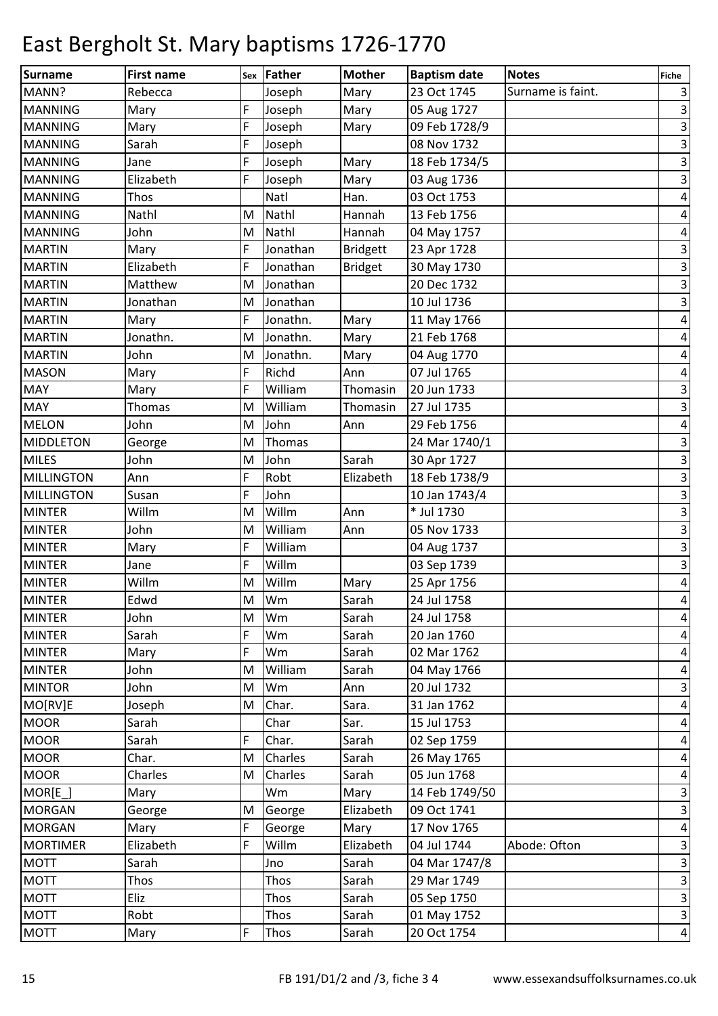| Surname                          | <b>First name</b> |     | Father         | <b>Mother</b>   | <b>Baptism date</b>        | <b>Notes</b>      |                         |
|----------------------------------|-------------------|-----|----------------|-----------------|----------------------------|-------------------|-------------------------|
| MANN?                            | Rebecca           | Sex | Joseph         | Mary            | 23 Oct 1745                | Surname is faint. | <b>Fiche</b><br>$\vert$ |
| <b>MANNING</b>                   | Mary              | F   | Joseph         | Mary            | 05 Aug 1727                |                   | $\vert$ 3               |
| <b>MANNING</b>                   | Mary              | F   | Joseph         |                 | 09 Feb 1728/9              |                   | $\vert$ 3               |
| <b>MANNING</b>                   | Sarah             | F   | Joseph         | Mary            | 08 Nov 1732                |                   | $\overline{\mathbf{3}}$ |
| <b>MANNING</b>                   | Jane              | F   |                | Mary            | 18 Feb 1734/5              |                   |                         |
|                                  |                   | F   | Joseph         |                 |                            |                   | $\vert$ 3               |
| <b>MANNING</b><br><b>MANNING</b> | Elizabeth<br>Thos |     | Joseph<br>Natl | Mary<br>Han.    | 03 Aug 1736<br>03 Oct 1753 |                   | $\overline{\mathbf{3}}$ |
|                                  |                   |     |                | Hannah          |                            |                   | $\vert 4 \vert$         |
| <b>MANNING</b>                   | Nathl             | M   | Nathl          |                 | 13 Feb 1756                |                   | $\overline{a}$          |
| <b>MANNING</b>                   | John              | M   | Nathl          | Hannah          | 04 May 1757                |                   | $\pmb{4}$               |
| <b>MARTIN</b>                    | Mary              | F   | Jonathan       | <b>Bridgett</b> | 23 Apr 1728                |                   | $\vert$ 3               |
| <b>MARTIN</b>                    | Elizabeth         | F   | Jonathan       | <b>Bridget</b>  | 30 May 1730                |                   | $\overline{3}$          |
| <b>MARTIN</b>                    | Matthew           | M   | Jonathan       |                 | 20 Dec 1732                |                   | $\vert$ 3               |
| <b>MARTIN</b>                    | Jonathan          | M   | Jonathan       |                 | 10 Jul 1736                |                   | $\vert$ 3               |
| <b>MARTIN</b>                    | Mary              | F   | Jonathn.       | Mary            | 11 May 1766                |                   | $\vert 4 \vert$         |
| <b>MARTIN</b>                    | Jonathn.          | M   | Jonathn.       | Mary            | 21 Feb 1768                |                   | $\vert 4 \vert$         |
| <b>MARTIN</b>                    | John              | M   | Jonathn.       | Mary            | 04 Aug 1770                |                   | $\vert 4 \vert$         |
| <b>MASON</b>                     | Mary              | F   | Richd          | Ann             | 07 Jul 1765                |                   | $\vert 4 \vert$         |
| <b>MAY</b>                       | Mary              | F   | William        | Thomasin        | 20 Jun 1733                |                   | $\vert$ 3               |
| <b>MAY</b>                       | Thomas            | M   | William        | Thomasin        | 27 Jul 1735                |                   | $\vert$ 3               |
| <b>MELON</b>                     | John              | M   | John           | Ann             | 29 Feb 1756                |                   | $\vert$                 |
| MIDDLETON                        | George            | M   | Thomas         |                 | 24 Mar 1740/1              |                   | $\mathbf{3}$            |
| <b>MILES</b>                     | John              | M   | John           | Sarah           | 30 Apr 1727                |                   | $\vert$ 3               |
| <b>MILLINGTON</b>                | Ann               | F   | Robt           | Elizabeth       | 18 Feb 1738/9              |                   | $\overline{3}$          |
| <b>MILLINGTON</b>                | Susan             | F   | John           |                 | 10 Jan 1743/4              |                   | $\vert$ 3               |
| <b>MINTER</b>                    | Willm             | M   | Willm          | Ann             | * Jul 1730                 |                   | $\overline{3}$          |
| <b>MINTER</b>                    | John              | M   | William        | Ann             | 05 Nov 1733                |                   | $\overline{\mathbf{3}}$ |
| <b>MINTER</b>                    | Mary              | F   | William        |                 | 04 Aug 1737                |                   | $\mathbf{3}$            |
| <b>MINTER</b>                    | Jane              | F   | Willm          |                 | 03 Sep 1739                |                   | $\overline{\mathbf{3}}$ |
| <b>MINTER</b>                    | Willm             | M   | Willm          | Mary            | 25 Apr 1756                |                   | $\vert 4 \vert$         |
| <b>MINTER</b>                    | Edwd              | M   | Wm             | Sarah           | 24 Jul 1758                |                   | $\vert 4 \vert$         |
| <b>MINTER</b>                    | John              | M   | Wm             | Sarah           | 24 Jul 1758                |                   | $\overline{a}$          |
| <b>MINTER</b>                    | Sarah             | F   | Wm             | Sarah           | 20 Jan 1760                |                   | $\vert 4 \vert$         |
| <b>MINTER</b>                    | Mary              | F   | Wm             | Sarah           | 02 Mar 1762                |                   | $\vert 4 \vert$         |
| <b>MINTER</b>                    | John              | M   | William        | Sarah           | 04 May 1766                |                   | $\overline{a}$          |
| <b>MINTOR</b>                    | John              | M   | Wm             | Ann             | 20 Jul 1732                |                   | $\overline{3}$          |
| MO[RV]E                          | Joseph            | M   | Char.          | Sara.           | 31 Jan 1762                |                   | $\vert 4 \vert$         |
| <b>MOOR</b>                      | Sarah             |     | Char           | Sar.            | 15 Jul 1753                |                   | $\vert 4 \vert$         |
| <b>MOOR</b>                      | Sarah             | F   | Char.          | Sarah           | 02 Sep 1759                |                   | $\vert 4 \vert$         |
| <b>MOOR</b>                      | Char.             | M   | Charles        | Sarah           | 26 May 1765                |                   | $\vert 4 \vert$         |
| <b>MOOR</b>                      | Charles           | M   | Charles        | Sarah           | 05 Jun 1768                |                   | $\overline{a}$          |
| $MOR[E_$                         | Mary              |     | Wm             | Mary            | 14 Feb 1749/50             |                   | $\vert$ 3               |
| <b>MORGAN</b>                    | George            | M   | George         | Elizabeth       | 09 Oct 1741                |                   | $\overline{\mathbf{3}}$ |
| <b>MORGAN</b>                    | Mary              | F   | George         | Mary            | 17 Nov 1765                |                   | $\vert 4 \vert$         |
| <b>MORTIMER</b>                  | Elizabeth         | F   | Willm          | Elizabeth       | 04 Jul 1744                | Abode: Ofton      | $\overline{\mathbf{3}}$ |
| <b>MOTT</b>                      | Sarah             |     | Jno            | Sarah           | 04 Mar 1747/8              |                   | $\overline{3}$          |
| <b>MOTT</b>                      | Thos              |     | Thos           | Sarah           | 29 Mar 1749                |                   | $\vert$ 3               |
| <b>MOTT</b>                      | Eliz              |     | Thos           | Sarah           | 05 Sep 1750                |                   | $\overline{\mathbf{3}}$ |
| <b>MOTT</b>                      | Robt              |     | Thos           | Sarah           | 01 May 1752                |                   | $\vert$ 3               |
| <b>MOTT</b>                      | Mary              | F   | Thos           | Sarah           | 20 Oct 1754                |                   | $\vert 4 \vert$         |
|                                  |                   |     |                |                 |                            |                   |                         |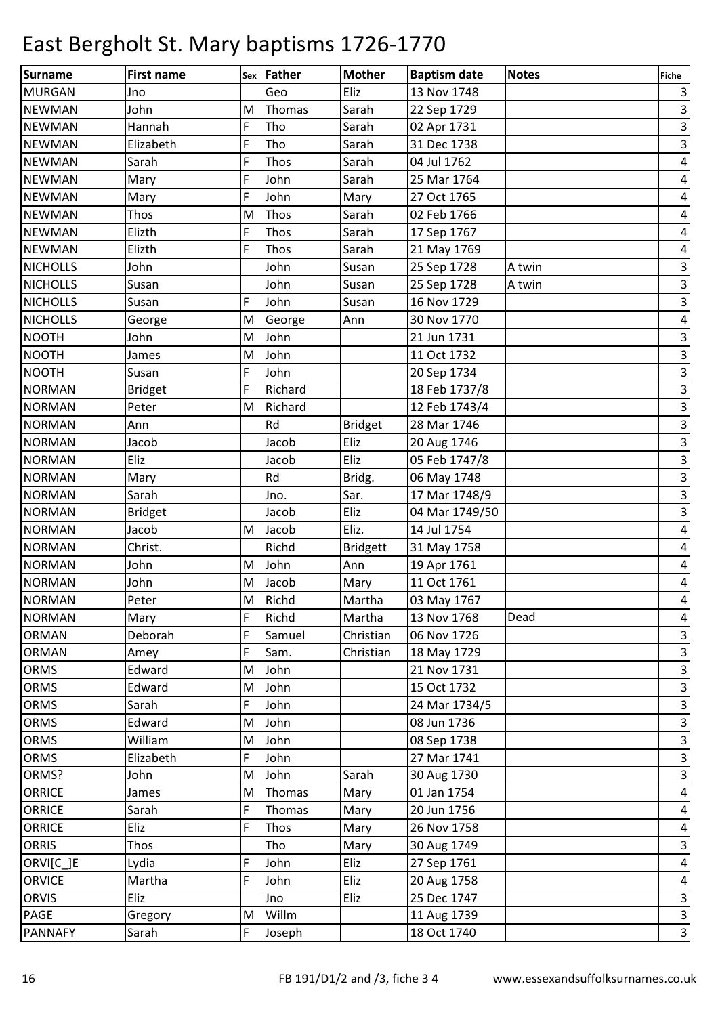| Surname         | <b>First name</b> |   | sex Father  | <b>Mother</b>   | <b>Baptism date</b> | <b>Notes</b> | Fiche                     |
|-----------------|-------------------|---|-------------|-----------------|---------------------|--------------|---------------------------|
| <b>MURGAN</b>   | Jno               |   | Geo         | Eliz            | 13 Nov 1748         |              | 3                         |
| <b>NEWMAN</b>   | John              | M | Thomas      | Sarah           | 22 Sep 1729         |              | $\mathbf{3}$              |
| <b>NEWMAN</b>   | Hannah            | F | Tho         | Sarah           | 02 Apr 1731         |              | $\mathbf{3}$              |
| <b>NEWMAN</b>   | Elizabeth         | F | Tho         | Sarah           | 31 Dec 1738         |              | $\ensuremath{\mathsf{3}}$ |
| <b>NEWMAN</b>   | Sarah             | F | Thos        | Sarah           | 04 Jul 1762         |              | 4                         |
| <b>NEWMAN</b>   | Mary              | F | John        | Sarah           | 25 Mar 1764         |              | 4                         |
| <b>NEWMAN</b>   | Mary              | F | John        | Mary            | 27 Oct 1765         |              | 4                         |
| <b>NEWMAN</b>   | Thos              | M | Thos        | Sarah           | 02 Feb 1766         |              | 4                         |
| <b>NEWMAN</b>   | Elizth            | F | Thos        | Sarah           | 17 Sep 1767         |              | 4                         |
| <b>NEWMAN</b>   | Elizth            | F | Thos        | Sarah           | 21 May 1769         |              | 4                         |
| <b>NICHOLLS</b> | John              |   | John        | Susan           | 25 Sep 1728         | A twin       | $\ensuremath{\mathsf{3}}$ |
| <b>NICHOLLS</b> | Susan             |   | John        | Susan           | 25 Sep 1728         | A twin       | $\ensuremath{\mathsf{3}}$ |
| <b>NICHOLLS</b> | Susan             | F | John        | Susan           | 16 Nov 1729         |              | $\mathbf{3}$              |
| <b>NICHOLLS</b> | George            | M | George      | Ann             | 30 Nov 1770         |              | $\pmb{4}$                 |
| <b>NOOTH</b>    | John              | M | John        |                 | 21 Jun 1731         |              | $\ensuremath{\mathsf{3}}$ |
| <b>NOOTH</b>    | James             | M | John        |                 | 11 Oct 1732         |              | $\mathbf{3}$              |
| <b>NOOTH</b>    | Susan             | F | John        |                 | 20 Sep 1734         |              | $\ensuremath{\mathsf{3}}$ |
| <b>NORMAN</b>   | <b>Bridget</b>    | F | Richard     |                 | 18 Feb 1737/8       |              | $\mathbf{3}$              |
| <b>NORMAN</b>   | Peter             | M | Richard     |                 | 12 Feb 1743/4       |              | $\mathsf 3$               |
| <b>NORMAN</b>   | Ann               |   | Rd          | <b>Bridget</b>  | 28 Mar 1746         |              | $\mathbf{3}$              |
| <b>NORMAN</b>   | Jacob             |   | Jacob       | Eliz            | 20 Aug 1746         |              | $\mathbf{3}$              |
| <b>NORMAN</b>   | Eliz              |   | Jacob       | Eliz            | 05 Feb 1747/8       |              | $\mathbf{3}$              |
| <b>NORMAN</b>   | Mary              |   | Rd          | Bridg.          | 06 May 1748         |              | $\ensuremath{\mathsf{3}}$ |
| <b>NORMAN</b>   | Sarah             |   | Jno.        | Sar.            | 17 Mar 1748/9       |              | $\mathbf{3}$              |
| <b>NORMAN</b>   | <b>Bridget</b>    |   | Jacob       | Eliz            | 04 Mar 1749/50      |              | $\mathbf{3}$              |
| <b>NORMAN</b>   | Jacob             | M | Jacob       | Eliz.           | 14 Jul 1754         |              | 4                         |
| <b>NORMAN</b>   | Christ.           |   | Richd       | <b>Bridgett</b> | 31 May 1758         |              | 4                         |
| <b>NORMAN</b>   | John              | M | John        | Ann             | 19 Apr 1761         |              | 4                         |
| <b>NORMAN</b>   | John              | M | Jacob       | Mary            | 11 Oct 1761         |              | 4                         |
| <b>NORMAN</b>   | Peter             | M | Richd       | Martha          | 03 May 1767         |              | $\vert 4 \vert$           |
| <b>NORMAN</b>   | Mary              | F | Richd       | Martha          | 13 Nov 1768         | Dead         | $\overline{a}$            |
| <b>ORMAN</b>    | Deborah           | F | Samuel      | Christian       | 06 Nov 1726         |              | $\mathsf 3$               |
| <b>ORMAN</b>    | Amey              | F | Sam.        | Christian       | 18 May 1729         |              | υ                         |
| ORMS            | Edward            | M | John        |                 | 21 Nov 1731         |              | $\overline{\mathbf{3}}$   |
| ORMS            | Edward            | M | John        |                 | 15 Oct 1732         |              | $\overline{\mathbf{3}}$   |
| ORMS            | Sarah             | F | John        |                 | 24 Mar 1734/5       |              | $\overline{\mathbf{3}}$   |
| ORMS            | Edward            | M | John        |                 | 08 Jun 1736         |              | $\overline{\mathbf{3}}$   |
| ORMS            | William           | M | John        |                 | 08 Sep 1738         |              | $\overline{\mathbf{3}}$   |
| ORMS            | Elizabeth         | F | John        |                 | 27 Mar 1741         |              | $\overline{\mathbf{3}}$   |
| ORMS?           | John              | M | John        | Sarah           | 30 Aug 1730         |              | $\overline{\mathbf{3}}$   |
| <b>ORRICE</b>   | James             | M | Thomas      | Mary            | 01 Jan 1754         |              | $\overline{4}$            |
| <b>ORRICE</b>   | Sarah             | F | Thomas      | Mary            | 20 Jun 1756         |              | $\overline{\mathbf{r}}$   |
| <b>ORRICE</b>   | Eliz              | F | <b>Thos</b> | Mary            | 26 Nov 1758         |              | $\overline{a}$            |
| <b>ORRIS</b>    | Thos              |   | Tho         | Mary            | 30 Aug 1749         |              | $\mathbf{3}$              |
| ORVI[C_]E       | Lydia             | F | John        | Eliz            | 27 Sep 1761         |              | $\pmb{4}$                 |
| <b>ORVICE</b>   | Martha            | F | John        | Eliz            | 20 Aug 1758         |              | $\overline{a}$            |
| <b>ORVIS</b>    | Eliz              |   | Jno         | Eliz            | 25 Dec 1747         |              | $\mathbf{3}$              |
| <b>PAGE</b>     | Gregory           | M | Willm       |                 | 11 Aug 1739         |              | $\vert$                   |
| <b>PANNAFY</b>  | Sarah             | F | Joseph      |                 | 18 Oct 1740         |              | $\vert$                   |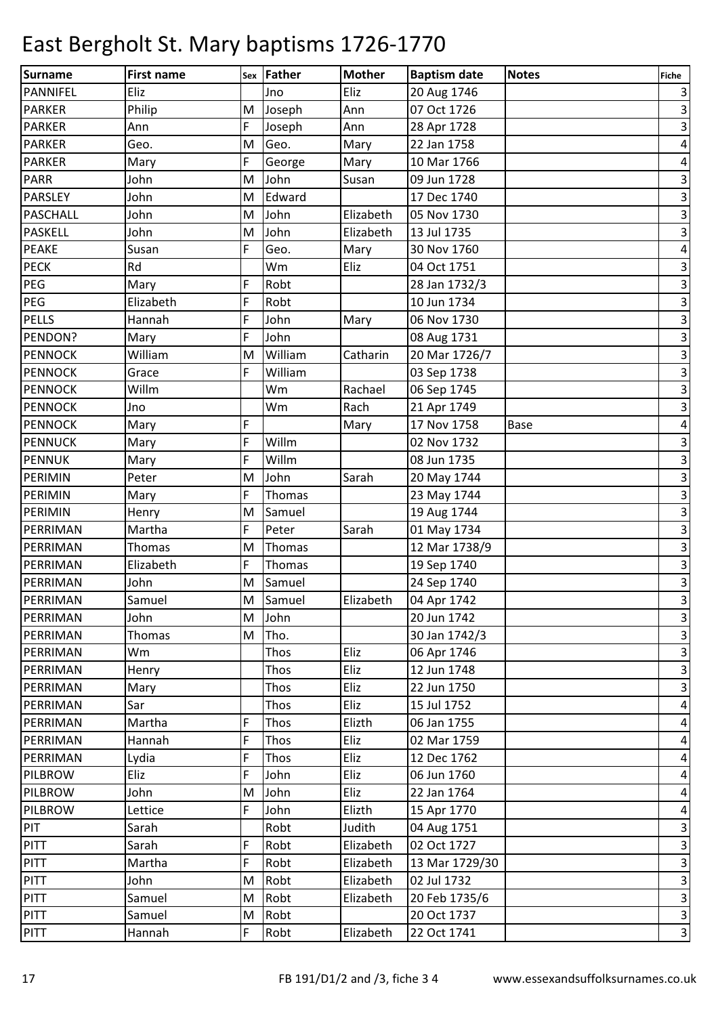| Surname         | <b>First name</b> |   | Sex Father | <b>Mother</b> | <b>Baptism date</b> | <b>Notes</b> | <b>Fiche</b>              |
|-----------------|-------------------|---|------------|---------------|---------------------|--------------|---------------------------|
| PANNIFEL        | Eliz              |   | Jno        | Eliz          | 20 Aug 1746         |              | 3                         |
| <b>PARKER</b>   | Philip            | M | Joseph     | Ann           | 07 Oct 1726         |              | $\mathsf 3$               |
| <b>PARKER</b>   | Ann               | F | Joseph     | Ann           | 28 Apr 1728         |              | $\mathbf{3}$              |
| <b>PARKER</b>   | Geo.              | M | Geo.       | Mary          | 22 Jan 1758         |              | $\pmb{4}$                 |
| <b>PARKER</b>   | Mary              | F | George     | Mary          | 10 Mar 1766         |              | 4                         |
| <b>PARR</b>     | John              | M | John       | Susan         | 09 Jun 1728         |              | $\ensuremath{\mathsf{3}}$ |
| <b>PARSLEY</b>  | John              | M | Edward     |               | 17 Dec 1740         |              | $\overline{3}$            |
| <b>PASCHALL</b> | John              | M | John       | Elizabeth     | 05 Nov 1730         |              | $\mathbf{3}$              |
| <b>PASKELL</b>  | John              | M | John       | Elizabeth     | 13 Jul 1735         |              | $\ensuremath{\mathsf{3}}$ |
| <b>PEAKE</b>    | Susan             | F | Geo.       | Mary          | 30 Nov 1760         |              | $\pmb{4}$                 |
| <b>PECK</b>     | Rd                |   | Wm         | Eliz          | 04 Oct 1751         |              | $\ensuremath{\mathsf{3}}$ |
| PEG             | Mary              | F | Robt       |               | 28 Jan 1732/3       |              | $\overline{\mathbf{3}}$   |
| PEG             | Elizabeth         | F | Robt       |               | 10 Jun 1734         |              | $\overline{\mathbf{3}}$   |
| <b>PELLS</b>    | Hannah            | F | John       | Mary          | 06 Nov 1730         |              | $\overline{3}$            |
| PENDON?         | Mary              | F | John       |               | 08 Aug 1731         |              | $\ensuremath{\mathsf{3}}$ |
| <b>PENNOCK</b>  | William           | M | William    | Catharin      | 20 Mar 1726/7       |              | $\overline{\mathsf{a}}$   |
| <b>PENNOCK</b>  | Grace             | F | William    |               | 03 Sep 1738         |              | $\ensuremath{\mathsf{3}}$ |
| <b>PENNOCK</b>  | Willm             |   | Wm         | Rachael       | 06 Sep 1745         |              | $\mathsf 3$               |
| <b>PENNOCK</b>  | Jno               |   | Wm         | Rach          | 21 Apr 1749         |              | $\mathbf{3}$              |
| <b>PENNOCK</b>  | Mary              | F |            | Mary          | 17 Nov 1758         | <b>Base</b>  | 4                         |
| <b>PENNUCK</b>  | Mary              | F | Willm      |               | 02 Nov 1732         |              | $\mathsf 3$               |
| <b>PENNUK</b>   | Mary              | F | Willm      |               | 08 Jun 1735         |              | $\ensuremath{\mathsf{3}}$ |
| PERIMIN         | Peter             | M | John       | Sarah         | 20 May 1744         |              | $\ensuremath{\mathsf{3}}$ |
| PERIMIN         | Mary              | F | Thomas     |               | 23 May 1744         |              | $\ensuremath{\mathsf{3}}$ |
| PERIMIN         | Henry             | M | Samuel     |               | 19 Aug 1744         |              | $\mathbf{3}$              |
| PERRIMAN        | Martha            | F | Peter      | Sarah         | 01 May 1734         |              | υ                         |
| PERRIMAN        | Thomas            | M | Thomas     |               | 12 Mar 1738/9       |              | $\mathbf{3}$              |
| PERRIMAN        | Elizabeth         | F | Thomas     |               | 19 Sep 1740         |              | $\mathbf{3}$              |
| PERRIMAN        | John              | M | Samuel     |               | 24 Sep 1740         |              | $\overline{\mathbf{3}}$   |
| PERRIMAN        | Samuel            | M | Samuel     | Elizabeth     | 04 Apr 1742         |              | $\overline{3}$            |
| PERRIMAN        | John              | M | John       |               | 20 Jun 1742         |              | $\overline{\mathbf{3}}$   |
| PERRIMAN        | Thomas            | M | Tho.       |               | 30 Jan 1742/3       |              | $\vert$ 3                 |
| PERRIMAN        | Wm                |   | Thos       | Eliz          | 06 Apr 1746         |              | $\overline{\mathbf{3}}$   |
| PERRIMAN        | Henry             |   | Thos       | Eliz          | 12 Jun 1748         |              | $\overline{\mathbf{3}}$   |
| PERRIMAN        | Mary              |   | Thos       | Eliz          | 22 Jun 1750         |              | $\overline{\mathbf{3}}$   |
| PERRIMAN        | Sar               |   | Thos       | Eliz          | 15 Jul 1752         |              | $\overline{\mathbf{r}}$   |
| PERRIMAN        | Martha            | F | Thos       | Elizth        | 06 Jan 1755         |              | $\overline{a}$            |
| PERRIMAN        | Hannah            | F | Thos       | Eliz          | 02 Mar 1759         |              | $\overline{4}$            |
| PERRIMAN        | Lydia             | F | Thos       | Eliz          | 12 Dec 1762         |              | $\overline{\mathbf{r}}$   |
| PILBROW         | Eliz              | F | John       | Eliz          | 06 Jun 1760         |              | $\overline{\mathbf{r}}$   |
| <b>PILBROW</b>  | John              | M | John       | Eliz          | 22 Jan 1764         |              | $\pmb{4}$                 |
| <b>PILBROW</b>  | Lettice           | F | John       | Elizth        | 15 Apr 1770         |              | $\overline{\mathbf{r}}$   |
| PIT             | Sarah             |   | Robt       | Judith        | 04 Aug 1751         |              | $\mathsf 3$               |
| <b>PITT</b>     | Sarah             | F | Robt       | Elizabeth     | 02 Oct 1727         |              | $\mathbf{3}$              |
| PITT            | Martha            | F | Robt       | Elizabeth     | 13 Mar 1729/30      |              | $\mathsf 3$               |
| PITT            | John              | M | Robt       | Elizabeth     | 02 Jul 1732         |              | $\overline{3}$            |
| <b>PITT</b>     | Samuel            | M | Robt       | Elizabeth     | 20 Feb 1735/6       |              | $\mathbf{3}$              |
| PITT            | Samuel            | M | Robt       |               | 20 Oct 1737         |              | $\vert$                   |
| <b>PITT</b>     | Hannah            | F | Robt       | Elizabeth     | 22 Oct 1741         |              | $\vert$                   |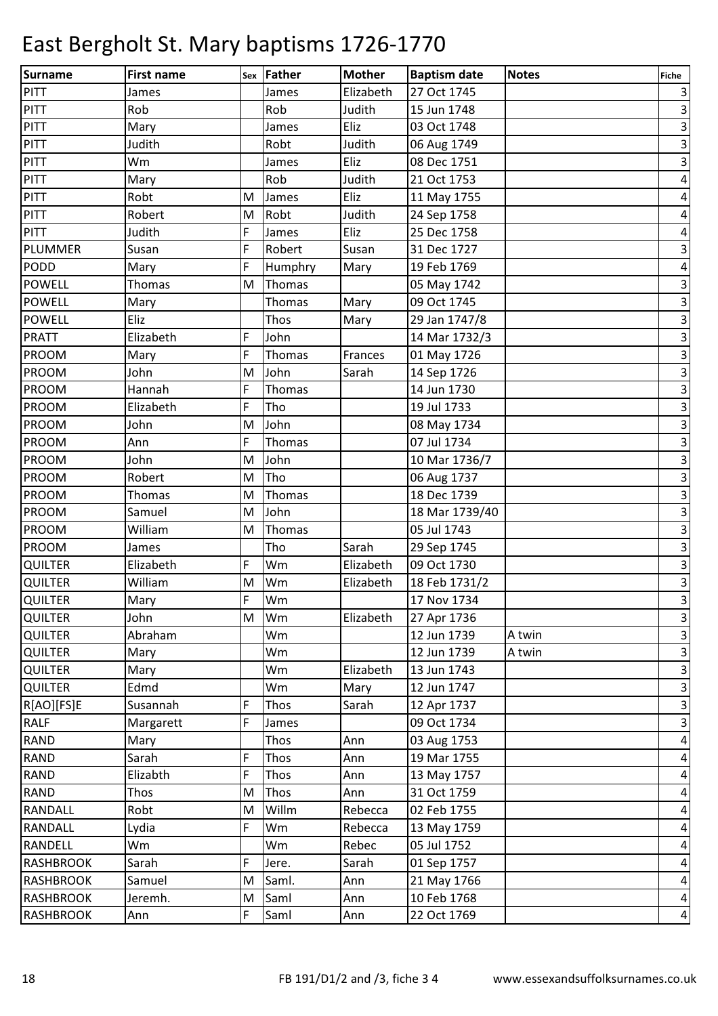| <b>Surname</b>                   | <b>First name</b> | Sex    | Father   | <b>Mother</b> | <b>Baptism date</b>        | <b>Notes</b> | <b>Fiche</b>                              |
|----------------------------------|-------------------|--------|----------|---------------|----------------------------|--------------|-------------------------------------------|
| PITT                             | James             |        | James    | Elizabeth     | 27 Oct 1745                |              | $\vert$                                   |
| PITT                             | Rob               |        | Rob      | Judith        | 15 Jun 1748                |              | $\vert$ 3                                 |
| <b>PITT</b>                      | Mary              |        | James    | Eliz          | 03 Oct 1748                |              | $\vert$ 3                                 |
| <b>PITT</b>                      | Judith            |        | Robt     | Judith        | 06 Aug 1749                |              | $\overline{\mathbf{3}}$                   |
| PITT                             | Wm                |        | James    | Eliz          | 08 Dec 1751                |              | $\vert$ 3                                 |
| PITT                             | Mary              |        | Rob      | Judith        | 21 Oct 1753                |              | $\vert 4 \vert$                           |
| PITT                             | Robt              | M      | James    | Eliz          | 11 May 1755                |              | $\vert 4 \vert$                           |
| PITT                             | Robert            | M      | Robt     | Judith        | 24 Sep 1758                |              | $\overline{a}$                            |
| <b>PITT</b>                      | Judith            | F      | James    | Eliz          | 25 Dec 1758                |              | $\pmb{4}$                                 |
| PLUMMER                          | Susan             | F      | Robert   | Susan         | 31 Dec 1727                |              | $\overline{\mathbf{3}}$                   |
| PODD                             | Mary              | F      | Humphry  | Mary          | 19 Feb 1769                |              | $\vert 4 \vert$                           |
| <b>POWELL</b>                    | Thomas            | M      | Thomas   |               | 05 May 1742                |              | $\vert$ 3                                 |
| <b>POWELL</b>                    | Mary              |        | Thomas   | Mary          | 09 Oct 1745                |              | $\overline{\mathbf{3}}$                   |
| <b>POWELL</b>                    | Eliz              |        | Thos     | Mary          | 29 Jan 1747/8              |              | $\overline{\mathbf{3}}$                   |
| <b>PRATT</b>                     | Elizabeth         | F      | John     |               | 14 Mar 1732/3              |              | $\vert$ 3                                 |
| PROOM                            | Mary              | F      | Thomas   | Frances       | 01 May 1726                |              | $\overline{\mathbf{3}}$                   |
| <b>PROOM</b>                     | John              | M      | John     | Sarah         | 14 Sep 1726                |              | $\overline{\mathbf{3}}$                   |
| <b>PROOM</b>                     | Hannah            | F      | Thomas   |               | 14 Jun 1730                |              | $\overline{\mathbf{3}}$                   |
| <b>PROOM</b>                     | Elizabeth         | F      | Tho      |               | 19 Jul 1733                |              | $\vert$ 3                                 |
| <b>PROOM</b>                     | John              | M      | John     |               | 08 May 1734                |              | $\overline{\mathbf{3}}$                   |
| PROOM                            | Ann               | F      | Thomas   |               | 07 Jul 1734                |              | $\overline{3}$                            |
| <b>PROOM</b>                     | John              | M      | John     |               | 10 Mar 1736/7              |              | $\vert$ 3                                 |
| PROOM                            | Robert            | M      | Tho      |               | 06 Aug 1737                |              | $\overline{\mathbf{3}}$                   |
| <b>PROOM</b>                     | Thomas            | M      | Thomas   |               | 18 Dec 1739                |              | $\vert$ 3                                 |
| <b>PROOM</b>                     | Samuel            | M      | John     |               | 18 Mar 1739/40             |              | $\overline{\mathbf{3}}$                   |
| <b>PROOM</b>                     | William           | M      | Thomas   |               | 05 Jul 1743                |              | $\vert$ 3                                 |
| <b>PROOM</b>                     | James             |        | Tho      | Sarah         | 29 Sep 1745                |              | $\mathbf{3}$                              |
| <b>QUILTER</b>                   | Elizabeth         | F      | Wm       | Elizabeth     | 09 Oct 1730                |              | $\overline{\mathbf{3}}$                   |
| <b>QUILTER</b>                   | William           | M<br>F | Wm       | Elizabeth     | 18 Feb 1731/2              |              | $\overline{\mathbf{3}}$<br>$\overline{3}$ |
| <b>QUILTER</b>                   | Mary              |        | Wm       |               | 17 Nov 1734                |              |                                           |
| <b>QUILTER</b>                   | John<br>Abraham   | M      | Wm       | Elizabeth     | 27 Apr 1736                | A twin       | $\vert$ 3                                 |
| <b>QUILTER</b><br><b>QUILTER</b> |                   |        | Wm<br>Wm |               | 12 Jun 1739<br>12 Jun 1739 | A twin       | $\vert$ 3<br>$\overline{\mathbf{3}}$      |
| <b>QUILTER</b>                   | Mary<br>Mary      |        | Wm       | Elizabeth     | 13 Jun 1743                |              | $\overline{\mathbf{3}}$                   |
| <b>QUILTER</b>                   | Edmd              |        | Wm       | Mary          | 12 Jun 1747                |              | $\vert$ 3                                 |
| R[AO][FS]E                       | Susannah          | F      | Thos     | Sarah         | 12 Apr 1737                |              | $\vert$ 3                                 |
| <b>RALF</b>                      | Margarett         | F      | James    |               | 09 Oct 1734                |              | $\vert$ 3                                 |
| <b>RAND</b>                      | Mary              |        | Thos     | Ann           | 03 Aug 1753                |              | $\vert 4 \vert$                           |
| <b>RAND</b>                      | Sarah             | F      | Thos     | Ann           | 19 Mar 1755                |              | $\vert$                                   |
| <b>RAND</b>                      | Elizabth          | F      | Thos     | Ann           | 13 May 1757                |              | $\overline{a}$                            |
| <b>RAND</b>                      | Thos              | M      | Thos     | Ann           | 31 Oct 1759                |              | $\vert 4 \vert$                           |
| <b>RANDALL</b>                   | Robt              | M      | Willm    | Rebecca       | 02 Feb 1755                |              | $\vert 4 \vert$                           |
| <b>RANDALL</b>                   | Lydia             | F      | Wm       | Rebecca       | 13 May 1759                |              | $\vert 4 \vert$                           |
| <b>RANDELL</b>                   | Wm                |        | Wm       | Rebec         | 05 Jul 1752                |              | $\vert 4 \vert$                           |
| <b>RASHBROOK</b>                 | Sarah             | F      | Jere.    | Sarah         | 01 Sep 1757                |              | $\vert$                                   |
| <b>RASHBROOK</b>                 | Samuel            | M      | Saml.    | Ann           | 21 May 1766                |              | $\vert 4 \vert$                           |
| <b>RASHBROOK</b>                 | Jeremh.           | M      | Saml     | Ann           | 10 Feb 1768                |              | $\vert 4 \vert$                           |
| <b>RASHBROOK</b>                 | Ann               | F      | Saml     | Ann           | 22 Oct 1769                |              | $\vert 4 \vert$                           |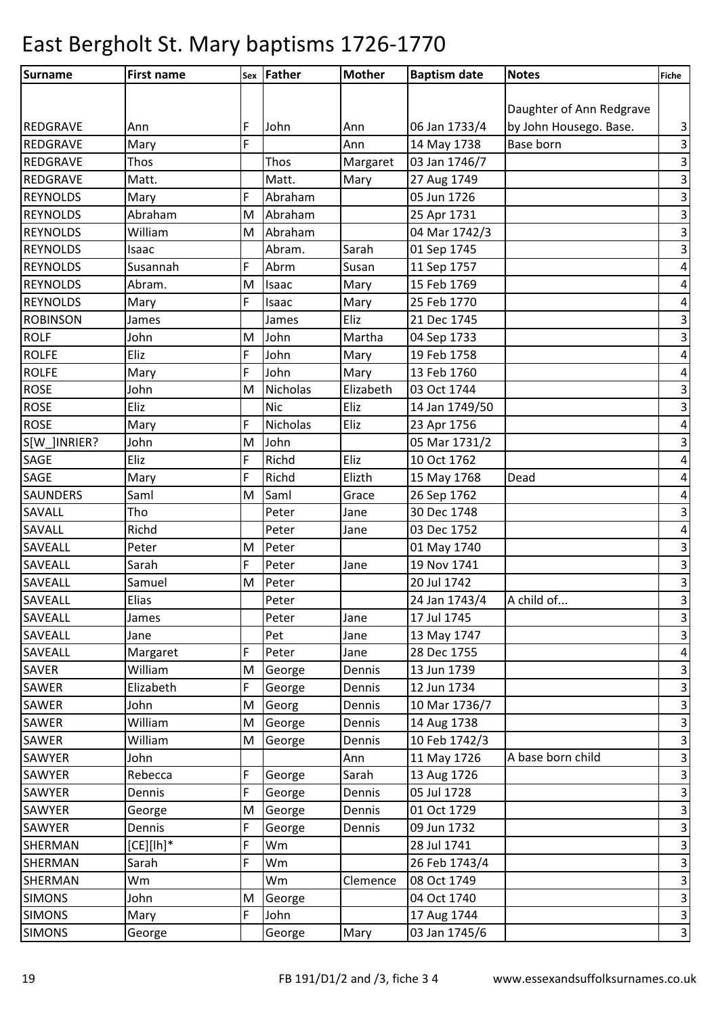| Surname         | <b>First name</b> |   | sex Father | <b>Mother</b> | <b>Baptism date</b> | <b>Notes</b>             | <b>Fiche</b>              |
|-----------------|-------------------|---|------------|---------------|---------------------|--------------------------|---------------------------|
|                 |                   |   |            |               |                     |                          |                           |
|                 |                   |   |            |               |                     | Daughter of Ann Redgrave |                           |
| <b>REDGRAVE</b> | Ann               | F | John       | Ann           | 06 Jan 1733/4       | by John Housego. Base.   | 3                         |
| <b>REDGRAVE</b> | Mary              | F |            | Ann           | 14 May 1738         | Base born                | $\mathsf 3$               |
| REDGRAVE        | Thos              |   | Thos       | Margaret      | 03 Jan 1746/7       |                          | $\overline{\mathbf{3}}$   |
| <b>REDGRAVE</b> | Matt.             |   | Matt.      | Mary          | 27 Aug 1749         |                          | $\ensuremath{\mathsf{3}}$ |
| <b>REYNOLDS</b> | Mary              | F | Abraham    |               | 05 Jun 1726         |                          | $\mathbf{3}$              |
| <b>REYNOLDS</b> | Abraham           | M | Abraham    |               | 25 Apr 1731         |                          | $\overline{\mathbf{3}}$   |
| <b>REYNOLDS</b> | William           | M | Abraham    |               | 04 Mar 1742/3       |                          | $\ensuremath{\mathsf{3}}$ |
| <b>REYNOLDS</b> | Isaac             |   | Abram.     | Sarah         | 01 Sep 1745         |                          | $\mathbf{3}$              |
| <b>REYNOLDS</b> | Susannah          | F | Abrm       | Susan         | 11 Sep 1757         |                          | $\pmb{4}$                 |
| <b>REYNOLDS</b> | Abram.            | M | Isaac      | Mary          | 15 Feb 1769         |                          | $\pmb{4}$                 |
| <b>REYNOLDS</b> | Mary              | F | Isaac      | Mary          | 25 Feb 1770         |                          | $\pmb{4}$                 |
| <b>ROBINSON</b> | James             |   | James      | Eliz          | 21 Dec 1745         |                          | $\mathbf{3}$              |
| <b>ROLF</b>     | John              | M | John       | Martha        | 04 Sep 1733         |                          | $\mathbf{3}$              |
| <b>ROLFE</b>    | Eliz              | F | John       | Mary          | 19 Feb 1758         |                          | $\overline{\mathbf{r}}$   |
| <b>ROLFE</b>    | Mary              | F | John       | Mary          | 13 Feb 1760         |                          | $\pmb{4}$                 |
| <b>ROSE</b>     | John              | M | Nicholas   | Elizabeth     | 03 Oct 1744         |                          | $\mathbf{3}$              |
| <b>ROSE</b>     | Eliz              |   | <b>Nic</b> | Eliz          | 14 Jan 1749/50      |                          | $\overline{\mathbf{3}}$   |
| <b>ROSE</b>     | Mary              | F | Nicholas   | Eliz          | 23 Apr 1756         |                          | $\pmb{4}$                 |
| S[W_]INRIER?    | John              | M | John       |               | 05 Mar 1731/2       |                          | $\mathbf{3}$              |
| <b>SAGE</b>     | Eliz              | F | Richd      | Eliz          | 10 Oct 1762         |                          | $\pmb{4}$                 |
| SAGE            | Mary              | F | Richd      | Elizth        | 15 May 1768         | Dead                     | $\overline{\mathbf{r}}$   |
| <b>SAUNDERS</b> | Saml              | M | Saml       | Grace         | 26 Sep 1762         |                          | $\pmb{4}$                 |
| SAVALL          | Tho               |   | Peter      | Jane          | 30 Dec 1748         |                          | $\overline{\mathbf{3}}$   |
| <b>SAVALL</b>   | Richd             |   | Peter      | Jane          | 03 Dec 1752         |                          | $\pmb{4}$                 |
| <b>SAVEALL</b>  | Peter             | M | Peter      |               | 01 May 1740         |                          | $\overline{\mathbf{3}}$   |
| <b>SAVEALL</b>  | Sarah             | F | Peter      | Jane          | 19 Nov 1741         |                          | $\mathsf 3$               |
| <b>SAVEALL</b>  | Samuel            | M | Peter      |               | 20 Jul 1742         |                          | $\mathsf 3$               |
| <b>SAVEALL</b>  | Elias             |   | Peter      |               | 24 Jan 1743/4       | A child of               | $\overline{\mathbf{3}}$   |
| <b>SAVEALL</b>  | James             |   | Peter      | Jane          | 17 Jul 1745         |                          | $\mathbf{3}$              |
| SAVEALL         | Jane              |   | Pet        | Jane          | 13 May 1747         |                          | $\mathbf{3}$              |
| SAVEALL         | Margaret          | F | Peter      | Jane          | 28 Dec 1755         |                          | $\pmb{4}$                 |
| <b>SAVER</b>    | William           | M | George     | Dennis        | 13 Jun 1739         |                          | $\mathbf{3}$              |
| SAWER           | Elizabeth         | F | George     | Dennis        | 12 Jun 1734         |                          | $\mathbf{3}$              |
| SAWER           | John              | M | Georg      | Dennis        | 10 Mar 1736/7       |                          | $\mathsf 3$               |
| SAWER           | William           | M | George     | Dennis        | 14 Aug 1738         |                          | $\ensuremath{\mathsf{3}}$ |
| <b>SAWER</b>    | William           | M | George     | Dennis        | 10 Feb 1742/3       |                          | $\mathbf{3}$              |
| <b>SAWYER</b>   | John              |   |            | Ann           | 11 May 1726         | A base born child        | $\ensuremath{\mathsf{3}}$ |
| SAWYER          | Rebecca           | F | George     | Sarah         | 13 Aug 1726         |                          | $\ensuremath{\mathsf{3}}$ |
| SAWYER          | Dennis            | F | George     | Dennis        | 05 Jul 1728         |                          | $\mathbf{3}$              |
| SAWYER          | George            | M | George     | Dennis        | 01 Oct 1729         |                          | $\mathbf{3}$              |
| SAWYER          | Dennis            | F | George     | Dennis        | 09 Jun 1732         |                          | $\ensuremath{\mathsf{3}}$ |
| SHERMAN         | $[CE][lh]^*$      | F | Wm         |               | 28 Jul 1741         |                          | $\mathsf 3$               |
| <b>SHERMAN</b>  | Sarah             | F | Wm         |               | 26 Feb 1743/4       |                          | $\ensuremath{\mathsf{3}}$ |
| <b>SHERMAN</b>  | Wm                |   | Wm         | Clemence      | 08 Oct 1749         |                          | $\mathbf{3}$              |
| <b>SIMONS</b>   | John              | M | George     |               | 04 Oct 1740         |                          | $\mathsf{3}$              |
| <b>SIMONS</b>   | Mary              | F | John       |               | 17 Aug 1744         |                          | $\ensuremath{\mathsf{3}}$ |
| <b>SIMONS</b>   | George            |   | George     | Mary          | 03 Jan 1745/6       |                          | $\mathbf{3}$              |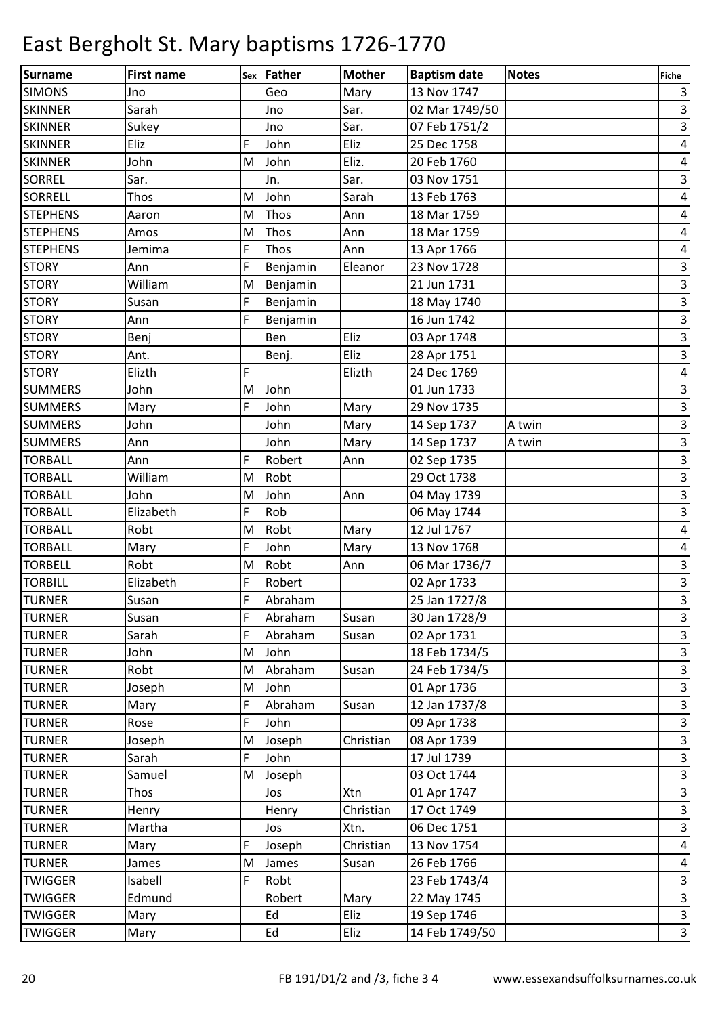| Surname         | <b>First name</b> |   | sex Father | <b>Mother</b> | <b>Baptism date</b> | <b>Notes</b> | Fiche                   |
|-----------------|-------------------|---|------------|---------------|---------------------|--------------|-------------------------|
| <b>SIMONS</b>   | Jno               |   | Geo        | Mary          | 13 Nov 1747         |              | $\vert$ 3               |
| <b>SKINNER</b>  | Sarah             |   | Jno        | Sar.          | 02 Mar 1749/50      |              | $\vert$ 3               |
| <b>SKINNER</b>  | Sukey             |   | Jno        | Sar.          | 07 Feb 1751/2       |              | $\overline{\mathbf{3}}$ |
| <b>SKINNER</b>  | Eliz              | F | John       | Eliz          | 25 Dec 1758         |              | $\vert 4 \vert$         |
| <b>SKINNER</b>  | John              | M | John       | Eliz.         | 20 Feb 1760         |              | $\overline{a}$          |
| <b>SORREL</b>   | Sar.              |   | Jn.        | Sar.          | 03 Nov 1751         |              | $\vert$ 3               |
| SORRELL         | Thos              | M | John       | Sarah         | 13 Feb 1763         |              | $\vert 4 \vert$         |
| <b>STEPHENS</b> | Aaron             | M | Thos       | Ann           | 18 Mar 1759         |              | $\overline{\mathbf{r}}$ |
| <b>STEPHENS</b> | Amos              | M | Thos       | Ann           | 18 Mar 1759         |              | $\pmb{4}$               |
| <b>STEPHENS</b> | Jemima            | F | Thos       | Ann           | 13 Apr 1766         |              | $\vert 4 \vert$         |
| <b>STORY</b>    | Ann               | F | Benjamin   | Eleanor       | 23 Nov 1728         |              | $\vert$ 3               |
| <b>STORY</b>    | William           | M | Benjamin   |               | 21 Jun 1731         |              | $\vert$ 3               |
| <b>STORY</b>    | Susan             | F | Benjamin   |               | 18 May 1740         |              | $\overline{3}$          |
| <b>STORY</b>    | Ann               | F | Benjamin   |               | 16 Jun 1742         |              | $\overline{3}$          |
| <b>STORY</b>    | Benj              |   | Ben        | Eliz          | 03 Apr 1748         |              | $\vert$ 3               |
| <b>STORY</b>    | Ant.              |   | Benj.      | Eliz          | 28 Apr 1751         |              | $\overline{3}$          |
| <b>STORY</b>    | Elizth            | F |            | Elizth        | 24 Dec 1769         |              | $\vert 4 \vert$         |
| <b>SUMMERS</b>  | John              | M | John       |               | 01 Jun 1733         |              | $\vert$ 3               |
| <b>SUMMERS</b>  | Mary              | F | John       | Mary          | 29 Nov 1735         |              | $\overline{\mathbf{3}}$ |
| <b>SUMMERS</b>  | John              |   | John       | Mary          | 14 Sep 1737         | A twin       | $\vert$ 3               |
| <b>SUMMERS</b>  | Ann               |   | John       | Mary          | 14 Sep 1737         | A twin       | $\overline{3}$          |
| <b>TORBALL</b>  | Ann               | F | Robert     | Ann           | 02 Sep 1735         |              | $\vert$ 3               |
| <b>TORBALL</b>  | William           | M | Robt       |               | 29 Oct 1738         |              | $\vert$ 3               |
| <b>TORBALL</b>  | John              | M | John       | Ann           | 04 May 1739         |              | $\vert$ 3               |
| <b>TORBALL</b>  | Elizabeth         | F | Rob        |               | 06 May 1744         |              | $\vert$ 3               |
| <b>TORBALL</b>  | Robt              | M | Robt       | Mary          | 12 Jul 1767         |              | $\vert 4 \vert$         |
| <b>TORBALL</b>  | Mary              | F | John       | Mary          | 13 Nov 1768         |              | $\overline{\mathbf{r}}$ |
| <b>TORBELL</b>  | Robt              | M | Robt       | Ann           | 06 Mar 1736/7       |              | $\mathsf 3$             |
| <b>TORBILL</b>  | Elizabeth         | F | Robert     |               | 02 Apr 1733         |              | $\overline{\mathbf{3}}$ |
| <b>TURNER</b>   | Susan             | F | Abraham    |               | 25 Jan 1727/8       |              | $\overline{3}$          |
| <b>TURNER</b>   | Susan             | F | Abraham    | Susan         | 30 Jan 1728/9       |              | $\overline{3}$          |
| <b>TURNER</b>   | Sarah             | F | Abraham    | Susan         | 02 Apr 1731         |              | $\vert$ 3               |
| <b>TURNER</b>   | John              | M | John       |               | 18 Feb 1734/5       |              | $\overline{\mathbf{3}}$ |
| <b>TURNER</b>   | Robt              | M | Abraham    | Susan         | 24 Feb 1734/5       |              | $\overline{\mathbf{3}}$ |
| <b>TURNER</b>   | Joseph            | M | John       |               | 01 Apr 1736         |              | $\overline{\mathbf{3}}$ |
| <b>TURNER</b>   | Mary              | F | Abraham    | Susan         | 12 Jan 1737/8       |              | $\overline{\mathbf{3}}$ |
| <b>TURNER</b>   | Rose              | F | John       |               | 09 Apr 1738         |              | $\overline{3}$          |
| <b>TURNER</b>   | Joseph            | M | Joseph     | Christian     | 08 Apr 1739         |              | $\overline{\mathbf{3}}$ |
| <b>TURNER</b>   | Sarah             | F | John       |               | 17 Jul 1739         |              | $\vert$ 3               |
| <b>TURNER</b>   | Samuel            | M | Joseph     |               | 03 Oct 1744         |              | $\overline{3}$          |
| <b>TURNER</b>   | Thos              |   | Jos        | Xtn           | 01 Apr 1747         |              | $\overline{\mathbf{3}}$ |
| <b>TURNER</b>   | Henry             |   | Henry      | Christian     | 17 Oct 1749         |              | $\overline{\mathbf{3}}$ |
| <b>TURNER</b>   | Martha            |   | Jos        | Xtn.          | 06 Dec 1751         |              | $\overline{\mathbf{3}}$ |
| <b>TURNER</b>   | Mary              | F | Joseph     | Christian     | 13 Nov 1754         |              | $\vert 4 \vert$         |
| <b>TURNER</b>   | James             | M | James      | Susan         | 26 Feb 1766         |              | $\vert 4 \vert$         |
| <b>TWIGGER</b>  | Isabell           | F | Robt       |               | 23 Feb 1743/4       |              | $\overline{\mathbf{3}}$ |
| <b>TWIGGER</b>  | Edmund            |   | Robert     | Mary          | 22 May 1745         |              | $\overline{\mathbf{3}}$ |
| <b>TWIGGER</b>  | Mary              |   | Ed         | Eliz          | 19 Sep 1746         |              | $\overline{\mathbf{3}}$ |
| <b>TWIGGER</b>  | Mary              |   | Ed         | Eliz          | 14 Feb 1749/50      |              | $\overline{3}$          |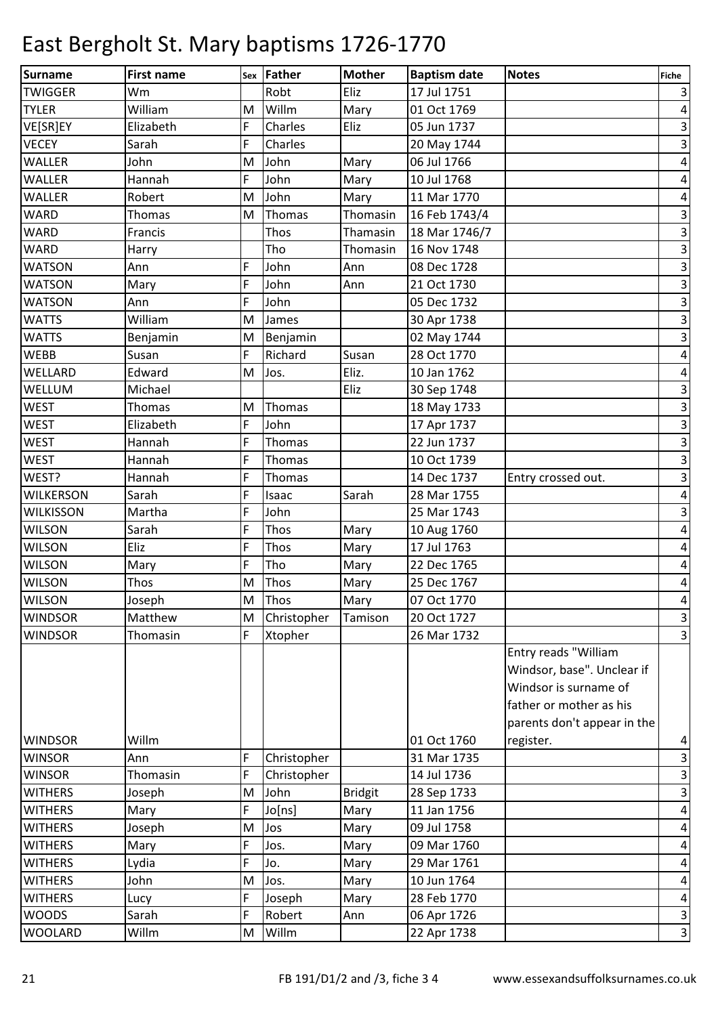| Surname          | <b>First name</b> | Sex | Father      | <b>Mother</b>  | <b>Baptism date</b> | <b>Notes</b>                | <b>Fiche</b>              |
|------------------|-------------------|-----|-------------|----------------|---------------------|-----------------------------|---------------------------|
| <b>TWIGGER</b>   | Wm                |     | Robt        | Eliz           | 17 Jul 1751         |                             | $\vert$                   |
| <b>TYLER</b>     | William           | M   | Willm       | Mary           | 01 Oct 1769         |                             | $\vert 4 \vert$           |
| VE[SR]EY         | Elizabeth         | F   | Charles     | Eliz           | 05 Jun 1737         |                             | $\overline{\mathbf{3}}$   |
| <b>VECEY</b>     | Sarah             | F   | Charles     |                | 20 May 1744         |                             | $\overline{3}$            |
| <b>WALLER</b>    | John              | M   | John        | Mary           | 06 Jul 1766         |                             | $\vert 4 \vert$           |
| <b>WALLER</b>    | Hannah            | F   | John        | Mary           | 10 Jul 1768         |                             | $\vert 4 \vert$           |
| <b>WALLER</b>    | Robert            | M   | John        | Mary           | 11 Mar 1770         |                             | $\overline{a}$            |
| <b>WARD</b>      | Thomas            | M   | Thomas      | Thomasin       | 16 Feb 1743/4       |                             | $\ensuremath{\mathsf{3}}$ |
| <b>WARD</b>      | Francis           |     | Thos        | Thamasin       | 18 Mar 1746/7       |                             | $\overline{\mathbf{3}}$   |
| <b>WARD</b>      | Harry             |     | Tho         | Thomasin       | 16 Nov 1748         |                             | $\overline{\mathbf{3}}$   |
| <b>WATSON</b>    | Ann               | F   | John        | Ann            | 08 Dec 1728         |                             | $\overline{3}$            |
| <b>WATSON</b>    | Mary              | F   | John        | Ann            | 21 Oct 1730         |                             | $\overline{3}$            |
| <b>WATSON</b>    | Ann               | F   | John        |                | 05 Dec 1732         |                             | $\overline{\mathbf{3}}$   |
| <b>WATTS</b>     | William           | M   | James       |                | 30 Apr 1738         |                             | ω                         |
| <b>WATTS</b>     | Benjamin          | M   | Benjamin    |                | 02 May 1744         |                             | $\overline{\mathbf{3}}$   |
| <b>WEBB</b>      | Susan             | F   | Richard     | Susan          | 28 Oct 1770         |                             | $\vert 4 \vert$           |
| WELLARD          | Edward            | M   | Jos.        | Eliz.          | 10 Jan 1762         |                             | $\vert 4 \vert$           |
| WELLUM           | Michael           |     |             | Eliz           | 30 Sep 1748         |                             | $\mathbf{3}$              |
| <b>WEST</b>      | <b>Thomas</b>     | M   | Thomas      |                | 18 May 1733         |                             | $\overline{\mathbf{3}}$   |
| <b>WEST</b>      | Elizabeth         | F   | John        |                | 17 Apr 1737         |                             | $\overline{\mathbf{3}}$   |
| <b>WEST</b>      | Hannah            | F   | Thomas      |                | 22 Jun 1737         |                             | $\overline{\mathbf{3}}$   |
| <b>WEST</b>      | Hannah            | F   | Thomas      |                | 10 Oct 1739         |                             | $\vert$ 3                 |
| WEST?            | Hannah            | F   | Thomas      |                | 14 Dec 1737         | Entry crossed out.          | $\overline{\mathbf{3}}$   |
| <b>WILKERSON</b> | Sarah             | F   | Isaac       | Sarah          | 28 Mar 1755         |                             | $\vert 4 \vert$           |
| <b>WILKISSON</b> | Martha            | F   | John        |                | 25 Mar 1743         |                             | $\overline{\mathbf{3}}$   |
| <b>WILSON</b>    | Sarah             | F   | Thos        | Mary           | 10 Aug 1760         |                             | $\pmb{4}$                 |
| <b>WILSON</b>    | Eliz              | F   | Thos        | Mary           | 17 Jul 1763         |                             | $\overline{a}$            |
| <b>WILSON</b>    | Mary              | F   | Tho         | Mary           | 22 Dec 1765         |                             | $\pmb{4}$                 |
| <b>WILSON</b>    | Thos              | M   | Thos        | Mary           | 25 Dec 1767         |                             | $\pmb{4}$                 |
| <b>WILSON</b>    | Joseph            | M   | Thos        | <b>Mary</b>    | 07 Oct 1770         |                             | $\vert$                   |
| <b>WINDSOR</b>   | Matthew           | M   | Christopher | Tamison        | 20 Oct 1727         |                             | $\vert$ 3                 |
| <b>WINDSOR</b>   | Thomasin          | F   | Xtopher     |                | 26 Mar 1732         |                             | $\overline{3}$            |
|                  |                   |     |             |                |                     | Entry reads "William        |                           |
|                  |                   |     |             |                |                     | Windsor, base". Unclear if  |                           |
|                  |                   |     |             |                |                     | Windsor is surname of       |                           |
|                  |                   |     |             |                |                     | father or mother as his     |                           |
|                  |                   |     |             |                |                     | parents don't appear in the |                           |
| <b>WINDSOR</b>   | Willm             |     |             |                | 01 Oct 1760         | register.                   | $\overline{\mathbf{r}}$   |
| <b>WINSOR</b>    | Ann               | F   | Christopher |                | 31 Mar 1735         |                             | $\overline{\mathbf{3}}$   |
| <b>WINSOR</b>    | Thomasin          | F   | Christopher |                | 14 Jul 1736         |                             | $\overline{\mathbf{3}}$   |
| <b>WITHERS</b>   | Joseph            | M   | John        | <b>Bridgit</b> | 28 Sep 1733         |                             | $\vert$ 3                 |
| <b>WITHERS</b>   | Mary              | F   | Jo[ns]      | Mary           | 11 Jan 1756         |                             | $\vert 4 \vert$           |
| <b>WITHERS</b>   | Joseph            | M   | Jos         | Mary           | 09 Jul 1758         |                             | $\vert 4 \vert$           |
| <b>WITHERS</b>   | Mary              | F   | Jos.        | Mary           | 09 Mar 1760         |                             | $\vert 4 \vert$           |
| <b>WITHERS</b>   | Lydia             | F   | Jo.         | Mary           | 29 Mar 1761         |                             | $\vert$                   |
| <b>WITHERS</b>   | John              | M   | Jos.        | Mary           | 10 Jun 1764         |                             | $\vert 4 \vert$           |
| <b>WITHERS</b>   | Lucy              | F   | Joseph      | Mary           | 28 Feb 1770         |                             | $\vert 4 \vert$           |
| <b>WOODS</b>     | Sarah             | F   | Robert      | Ann            | 06 Apr 1726         |                             | $\vert$ 3                 |
| <b>WOOLARD</b>   | Willm             | M   | Willm       |                | 22 Apr 1738         |                             | $\vert$ 3                 |